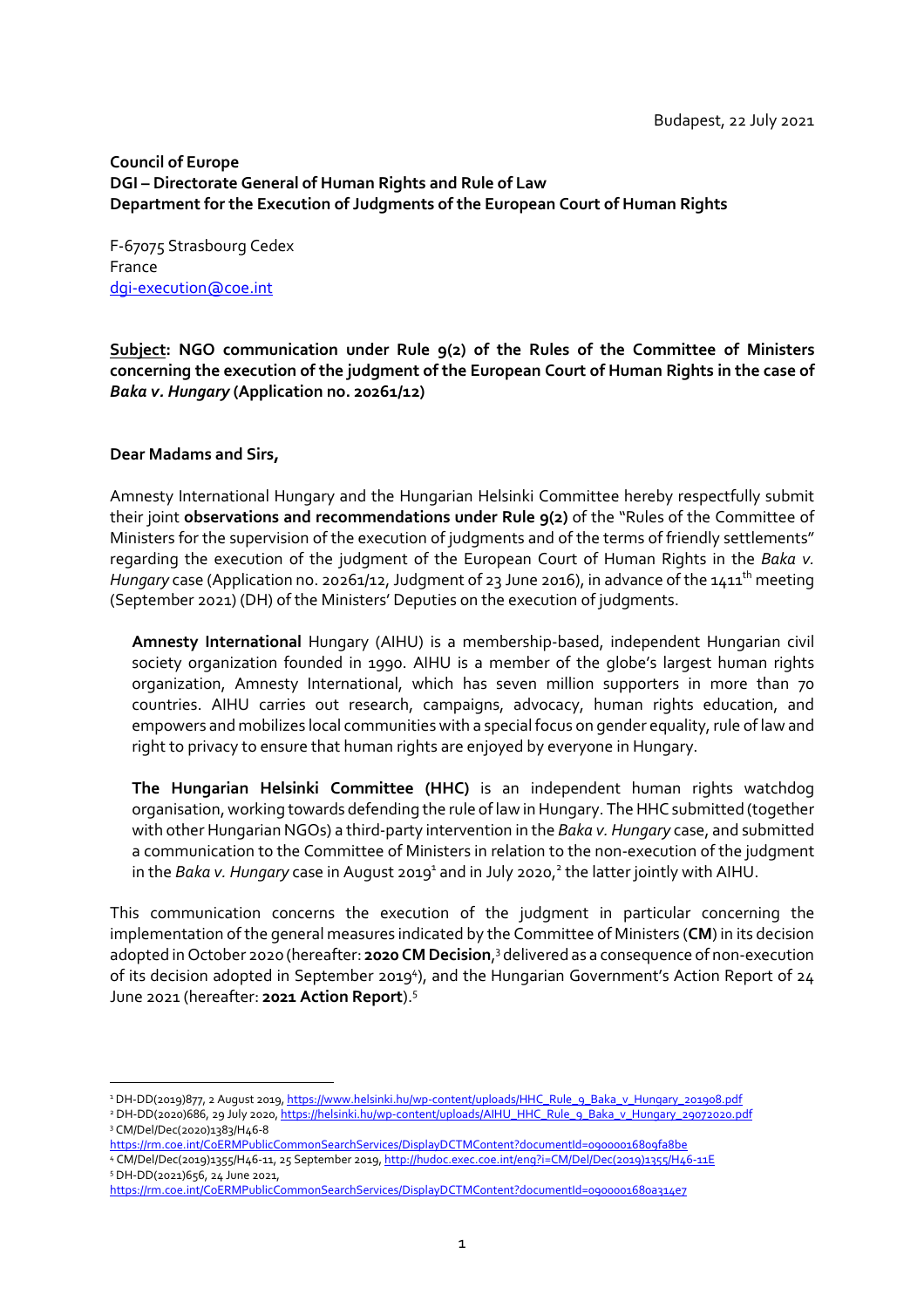# **Council of Europe DGI – Directorate General of Human Rights and Rule of Law Department for the Execution of Judgments of the European Court of Human Rights**

F-67075 Strasbourg Cedex France dgi-execution@coe.int

**Subject: NGO communication under Rule 9(2) of the Rules of the Committee of Ministers concerning the execution of the judgment of the European Court of Human Rights in the case of**  *Baka v. Hungary* **(Application no. 20261/12)**

# **Dear Madams and Sirs,**

Amnesty International Hungary and the Hungarian Helsinki Committee hereby respectfully submit their joint **observations and recommendations under Rule 9(2)** of the "Rules of the Committee of Ministers for the supervision of the execution of judgments and of the terms of friendly settlements" regarding the execution of the judgment of the European Court of Human Rights in the *Baka v. Hungary* case (Application no. 20261/12, Judgment of 23 June 2016), in advance of the 1411<sup>th</sup> meeting (September 2021) (DH) of the Ministers' Deputies on the execution of judgments.

**Amnesty International** Hungary (AIHU) is a membership-based, independent Hungarian civil society organization founded in 1990. AIHU is a member of the globe's largest human rights organization, Amnesty International, which has seven million supporters in more than 70 countries. AIHU carries out research, campaigns, advocacy, human rights education, and empowers and mobilizes local communities with a special focus on gender equality, rule of law and right to privacy to ensure that human rights are enjoyed by everyone in Hungary.

**The Hungarian Helsinki Committee (HHC)** is an independent human rights watchdog organisation, working towards defending the rule of law in Hungary. The HHC submitted (together with other Hungarian NGOs) a third-party intervention in the *Baka v. Hungary* case, and submitted a communication to the Committee of Ministers in relation to the non-execution of the judgment in the Baka v. Hungary case in August 2019<sup>1</sup> and in July 2020,<sup>2</sup> the latter jointly with AIHU.

This communication concerns the execution of the judgment in particular concerning the implementation of the general measures indicated by the Committee of Ministers (**CM**) in its decision adopted in October 2020 (hereafter: 2020 CM Decision,<sup>3</sup> delivered as a consequence of non-execution of its decision adopted in September 2019<sup>4</sup>), and the Hungarian Government's Action Report of 24 June 2021 (hereafter: **2021 Action Report**).<sup>5</sup>

<sup>&</sup>lt;sup>1</sup>DH-DD(2019)877, 2 August 2019, https://www.helsinki.hu/wp-content/uploads/HHC\_Rule\_9\_Baka\_v\_Hungary\_201908.pdf <sup>2</sup> DH-DD(2020)686, 29 July 2020, https://helsinki.hu/wp-content/uploads/AIHU\_HHC\_Rule\_9\_Baka\_v\_Hungary\_29072020.pdf

<sup>3</sup> CM/Del/Dec(2020)1383/H46-8

https://rm.coe.int/CoERMPublicCommonSearchServices/DisplayDCTMContent?documentId=09000016809fa8be 4 CM/Del/Dec(2019)1355/H46-11, 25 September 2019, http://hudoc.exec.coe.int/eng?i=CM/Del/Dec(2019)1355/H46-11E 5 DH-DD(2021)656, 24 June 2021,

https://rm.coe.int/CoERMPublicCommonSearchServices/DisplayDCTMContent?documentId=0900001680a314e7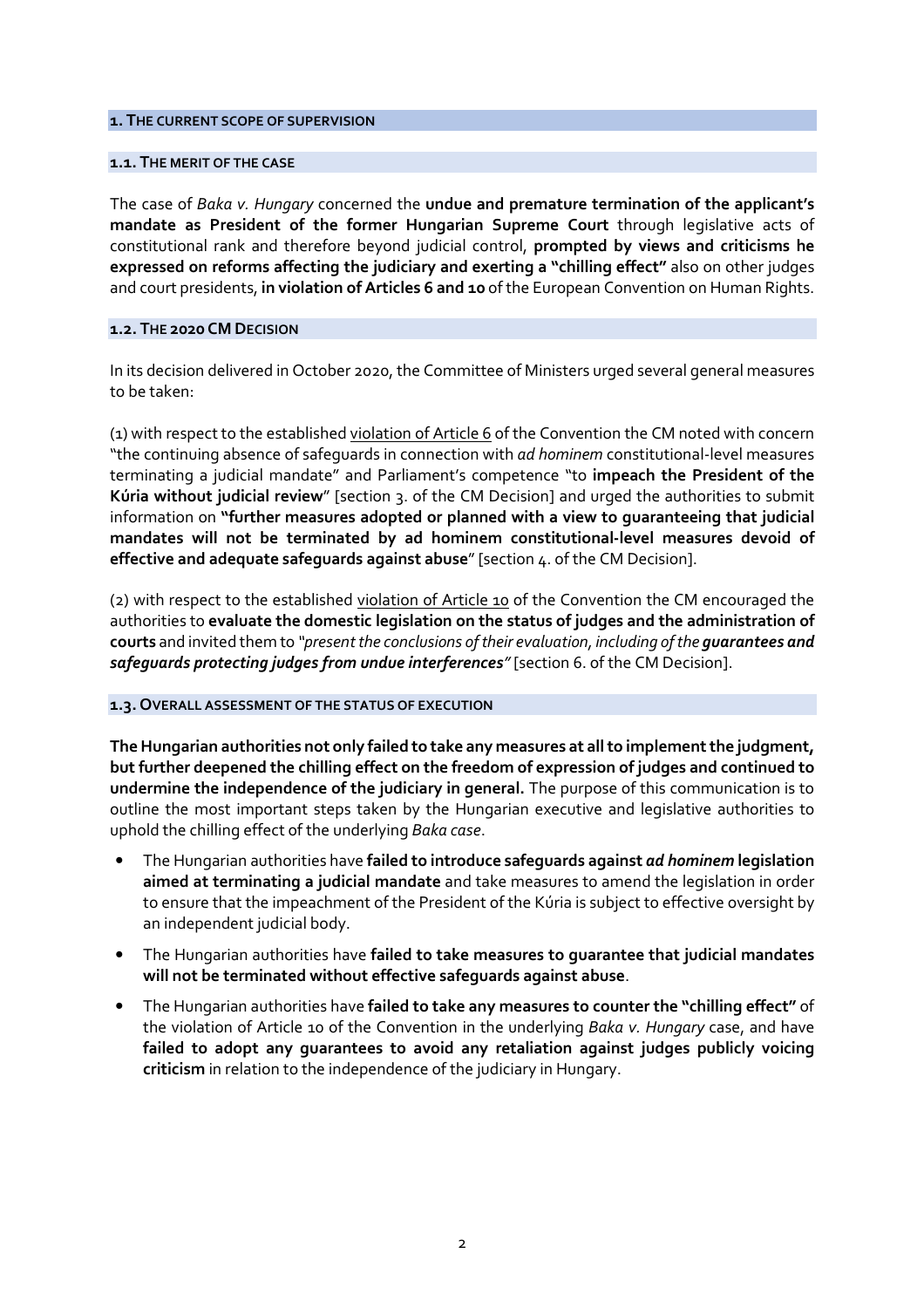### **1. THE CURRENT SCOPE OF SUPERVISION**

### **1.1. THE MERIT OF THE CASE**

The case of *Baka v. Hungary* concerned the **undue and premature termination of the applicant's mandate as President of the former Hungarian Supreme Court** through legislative acts of constitutional rank and therefore beyond judicial control, **prompted by views and criticisms he expressed on reforms affecting the judiciary and exerting a "chilling effect"** also on other judges and court presidents, **in violation of Articles 6 and 10** of the European Convention on Human Rights.

#### **1.2. THE 2020 CM DECISION**

In its decision delivered in October 2020, the Committee of Ministers urged several general measures to be taken:

(1) with respect to the established violation of Article 6 of the Convention the CM noted with concern "the continuing absence of safeguards in connection with *ad hominem* constitutional-level measures terminating a judicial mandate" and Parliament's competence "to **impeach the President of the Kúria without judicial review**" [section 3. of the CM Decision] and urged the authorities to submit information on **"further measures adopted or planned with a view to guaranteeing that judicial mandates will not be terminated by ad hominem constitutional-level measures devoid of effective and adequate safeguards against abuse**" [section 4. of the CM Decision].

(2) with respect to the established violation of Article 10 of the Convention the CM encouraged the authorities to **evaluate the domestic legislation on the status of judges and the administration of courts** and invited them to *"present the conclusions of their evaluation, including of the guarantees and safeguards protecting judges from undue interferences"* [section 6. of the CM Decision].

#### **1.3. OVERALL ASSESSMENT OF THE STATUS OF EXECUTION**

**The Hungarian authorities not only failed to take any measures at all to implement the judgment, but further deepened the chilling effect on the freedom of expression of judges and continued to undermine the independence of the judiciary in general.** The purpose of this communication is to outline the most important steps taken by the Hungarian executive and legislative authorities to uphold the chilling effect of the underlying *Baka case*.

- The Hungarian authorities have **failed to introduce safeguards against** *ad hominem* **legislation aimed at terminating a judicial mandate** and take measures to amend the legislation in order to ensure that the impeachment of the President of the Kúria is subject to effective oversight by an independent judicial body.
- The Hungarian authorities have **failed to take measures to guarantee that judicial mandates will not be terminated without effective safeguards against abuse**.
- The Hungarian authorities have **failed to take any measures to counter the "chilling effect"** of the violation of Article 10 of the Convention in the underlying *Baka v. Hungary* case, and have **failed to adopt any guarantees to avoid any retaliation against judges publicly voicing criticism** in relation to the independence of the judiciary in Hungary.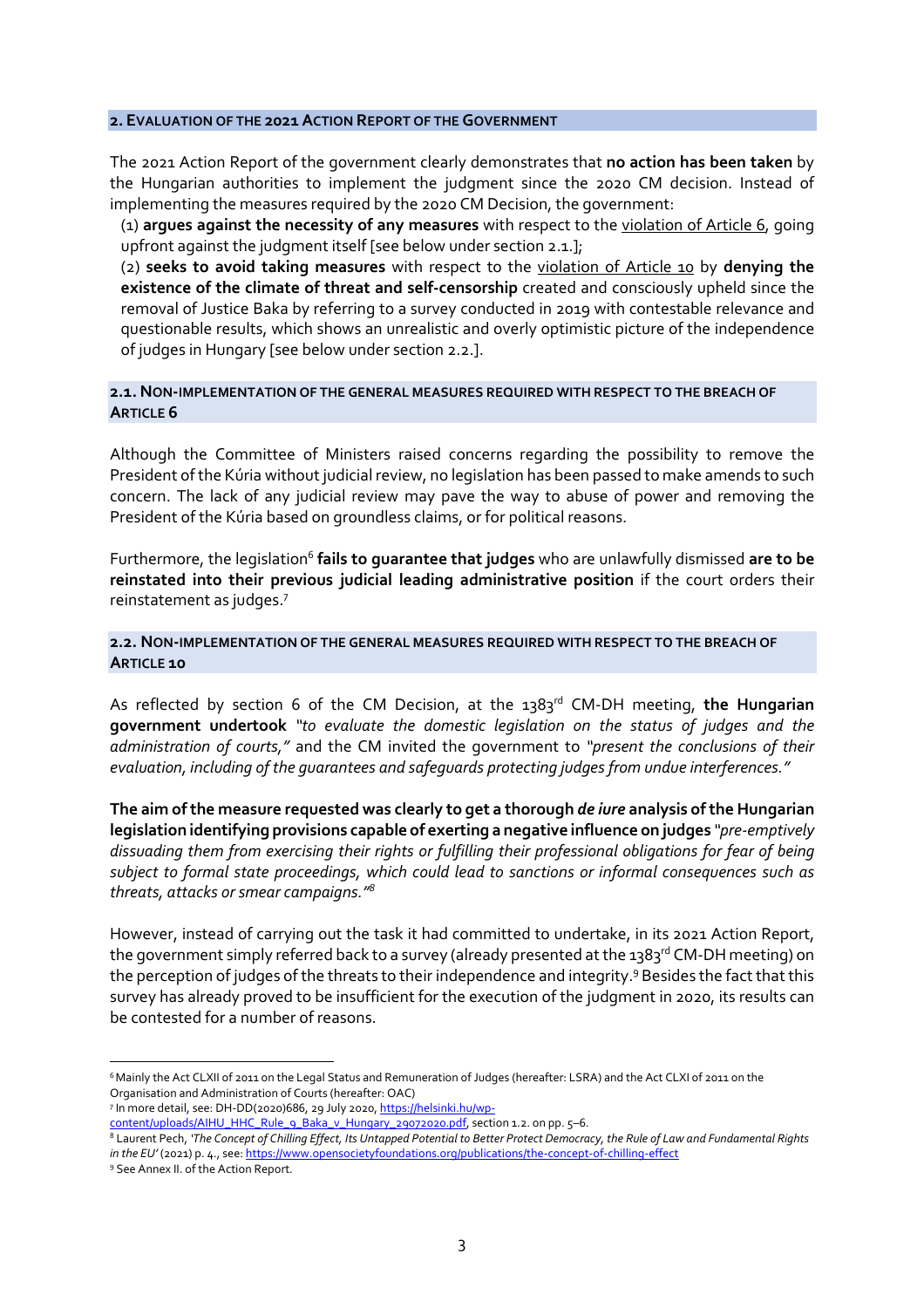#### **2. EVALUATION OF THE 2021 ACTION REPORT OF THE GOVERNMENT**

The 2021 Action Report of the government clearly demonstrates that **no action has been taken** by the Hungarian authorities to implement the judgment since the 2020 CM decision. Instead of implementing the measures required by the 2020 CM Decision, the government:

(1) **argues against the necessity of any measures** with respect to the violation of Article 6, going upfront against the judgment itself [see below under section 2.1.];

(2) **seeks to avoid taking measures** with respect to the violation of Article 10 by **denying the existence of the climate of threat and self-censorship** created and consciously upheld since the removal of Justice Baka by referring to a survey conducted in 2019 with contestable relevance and questionable results, which shows an unrealistic and overly optimistic picture of the independence of judges in Hungary [see below under section 2.2.].

### **2.1. NON-IMPLEMENTATION OF THE GENERAL MEASURES REQUIRED WITH RESPECT TO THE BREACH OF ARTICLE 6**

Although the Committee of Ministers raised concerns regarding the possibility to remove the President of the Kúria without judicial review, no legislation has been passed to make amends to such concern. The lack of any judicial review may pave the way to abuse of power and removing the President of the Kúria based on groundless claims, or for political reasons.

Furthermore, the legislation<sup>6</sup> fails to guarantee that judges who are unlawfully dismissed are to be **reinstated into their previous judicial leading administrative position** if the court orders their reinstatement as judges.<sup>7</sup>

## **2.2. NON-IMPLEMENTATION OF THE GENERAL MEASURES REQUIRED WITH RESPECT TO THE BREACH OF ARTICLE 10**

As reflected by section 6 of the CM Decision, at the 1383<sup>rd</sup> CM-DH meeting, the Hungarian **government undertook** *"to evaluate the domestic legislation on the status of judges and the administration of courts,"* and the CM invited the government to *"present the conclusions of their evaluation, including of the guarantees and safeguards protecting judges from undue interferences."*

**The aim of the measure requested was clearly to get a thorough** *de iure* **analysis of the Hungarian legislation identifying provisions capable of exerting a negative influence on judges** *"pre-emptively dissuading them from exercising their rights or fulfilling their professional obligations for fear of being subject to formal state proceedings, which could lead to sanctions or informal consequences such as threats, attacks or smear campaigns."<sup>8</sup>*

However, instead of carrying out the task it had committed to undertake, in its 2021 Action Report, the government simply referred back to a survey (already presented at the 1383<sup>rd</sup> CM-DH meeting) on the perception of judges of the threats to their independence and integrity.<sup>9</sup> Besides the fact that this survey has already proved to be insufficient for the execution of the judgment in 2020, its results can be contested for a number of reasons.

<sup>6</sup>Mainly the Act CLXII of 2011 on the Legal Status and Remuneration of Judges (hereafter: LSRA) and the Act CLXI of 2011 on the Organisation and Administration of Courts (hereafter: OAC)

<sup>&</sup>lt;sup>7</sup> In more detail, see: DH-DD(2020)686, 29 July 2020, <u>https://helsinki.hu/wp-</u>

content/uploads/AIHU\_HHC\_Rule\_9\_Baka\_v\_Hungary\_29072020.pdf, section 1.2. on pp. 5–6.

 $^8$  Laurent Pech, 'The Concept of Chilling Effect, Its Untapped Potential to Better Protect Democracy, the Rule of Law and Fundamental Rights *in the EU'* (2021) p. 4., see: https://www.opensocietyfoundations.org/publications/the-concept-of-chilling-effect

<sup>9</sup> See Annex II. of the Action Report.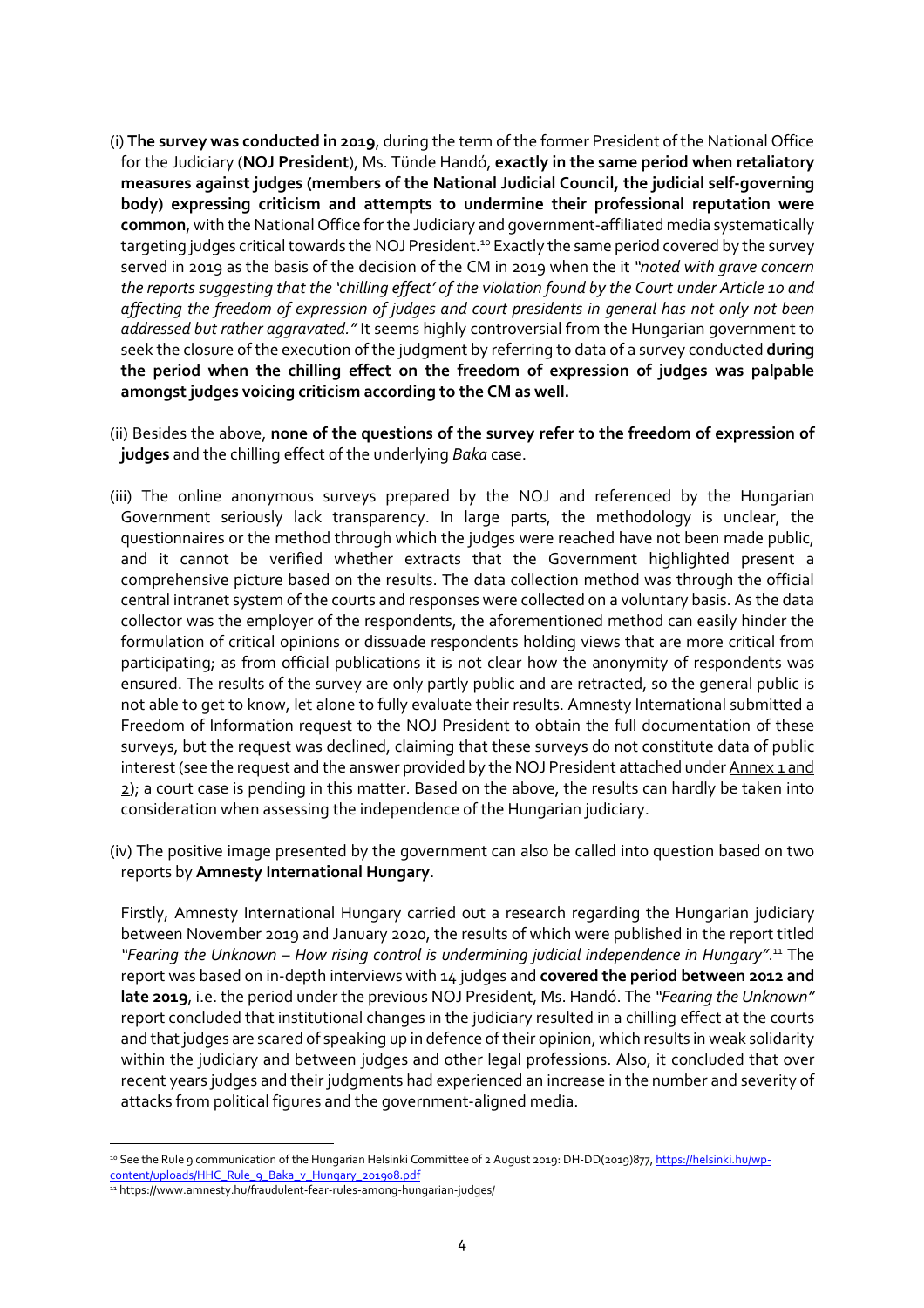- (i) **The survey was conducted in 2019**, during the term of the former President of the National Office for the Judiciary (**NOJ President**), Ms. Tünde Handó, **exactly in the same period when retaliatory measures against judges (members of the National Judicial Council, the judicial self-governing body) expressing criticism and attempts to undermine their professional reputation were common**, with the National Office for the Judiciary and government-affiliated media systematically targeting judges critical towards the NOJ President.<sup>10</sup> Exactly the same period covered by the survey served in 2019 as the basis of the decision of the CM in 2019 when the it *"noted with grave concern the reports suggesting that the 'chilling effect' of the violation found by the Court under Article 10 and affecting the freedom of expression of judges and court presidents in general has not only not been addressed but rather aggravated."* It seems highly controversial from the Hungarian government to seek the closure of the execution of the judgment by referring to data of a survey conducted **during the period when the chilling effect on the freedom of expression of judges was palpable amongst judges voicing criticism according to the CM as well.**
- (ii) Besides the above, **none of the questions of the survey refer to the freedom of expression of judges** and the chilling effect of the underlying *Baka* case.
- (iii) The online anonymous surveys prepared by the NOJ and referenced by the Hungarian Government seriously lack transparency. In large parts, the methodology is unclear, the questionnaires or the method through which the judges were reached have not been made public, and it cannot be verified whether extracts that the Government highlighted present a comprehensive picture based on the results. The data collection method was through the official central intranet system of the courts and responses were collected on a voluntary basis. As the data collector was the employer of the respondents, the aforementioned method can easily hinder the formulation of critical opinions or dissuade respondents holding views that are more critical from participating; as from official publications it is not clear how the anonymity of respondents was ensured. The results of the survey are only partly public and are retracted, so the general public is not able to get to know, let alone to fully evaluate their results. Amnesty International submitted a Freedom of Information request to the NOJ President to obtain the full documentation of these surveys, but the request was declined, claiming that these surveys do not constitute data of public interest (see the request and the answer provided by the NOJ President attached under Annex 1 and 2); a court case is pending in this matter. Based on the above, the results can hardly be taken into consideration when assessing the independence of the Hungarian judiciary.
- (iv) The positive image presented by the government can also be called into question based on two reports by **Amnesty International Hungary**.

Firstly, Amnesty International Hungary carried out a research regarding the Hungarian judiciary between November 2019 and January 2020, the results of which were published in the report titled "Fearing the Unknown - How rising control is undermining judicial independence in Hungary".<sup>11</sup> The report was based on in-depth interviews with 14 judges and **covered the period between 2012 and late 2019**, i.e. the period under the previous NOJ President, Ms. Handó. The *"Fearing the Unknown"* report concluded that institutional changes in the judiciary resulted in a chilling effect at the courts and that judges are scared of speaking up in defence of their opinion, which results in weak solidarity within the judiciary and between judges and other legal professions. Also, it concluded that over recent years judges and their judgments had experienced an increase in the number and severity of attacks from political figures and the government-aligned media.

<sup>&</sup>lt;sup>10</sup> See the Rule 9 communication of the Hungarian Helsinki Committee of 2 August 2019: DH-DD(2019)877, https://helsinki.hu/wpcontent/uploads/HHC\_Rule\_9\_Baka\_v\_Hungary\_201908.pdf

<sup>11</sup> https://www.amnesty.hu/fraudulent-fear-rules-among-hungarian-judges/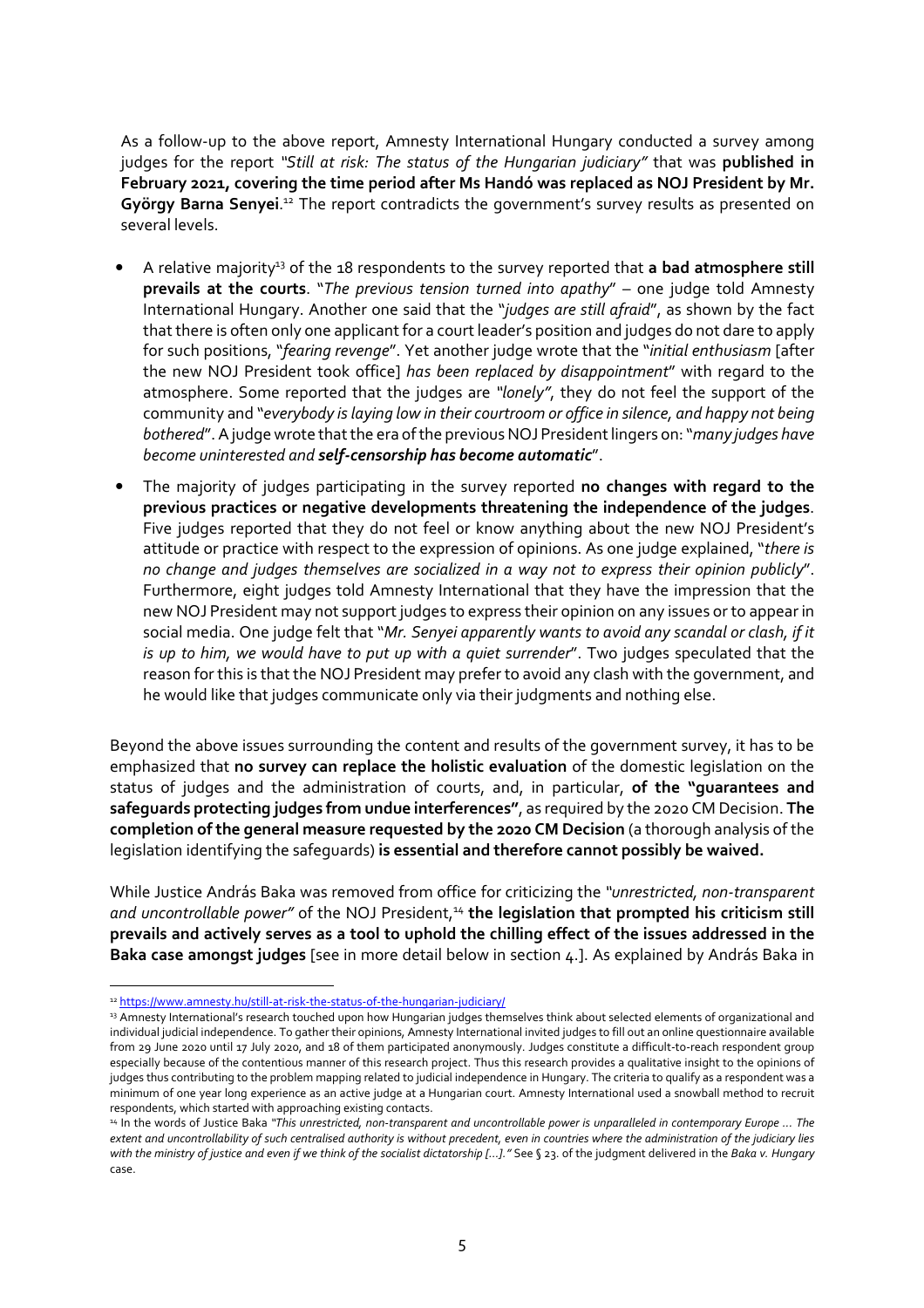As a follow-up to the above report, Amnesty International Hungary conducted a survey among judges for the report *"Still at risk: The status of the Hungarian judiciary"* that was **published in February 2021, covering the time period after Ms Handó was replaced as NOJ President by Mr.**  György Barna Senyei.<sup>12</sup> The report contradicts the government's survey results as presented on several levels.

- A relative majority<sup>13</sup> of the 18 respondents to the survey reported that **a bad atmosphere still prevails at the courts**. "*The previous tension turned into apathy*" – one judge told Amnesty International Hungary. Another one said that the "*judges are still afraid*", as shown by the fact that there is often only one applicant for a court leader's position and judges do not dare to apply for such positions, "*fearing revenge*". Yet another judge wrote that the "*initial enthusiasm* [after the new NOJ President took office] *has been replaced by disappointment*" with regard to the atmosphere. Some reported that the judges are *"lonely"*, they do not feel the support of the community and "*everybody is laying low in their courtroom or office in silence, and happy not being bothered*". A judge wrote that the era of the previous NOJ President lingers on: "*many judges have become uninterested and self-censorship has become automatic*".
- The majority of judges participating in the survey reported **no changes with regard to the previous practices or negative developments threatening the independence of the judges**. Five judges reported that they do not feel or know anything about the new NOJ President's attitude or practice with respect to the expression of opinions. As one judge explained, "*there is no change and judges themselves are socialized in a way not to express their opinion publicly*". Furthermore, eight judges told Amnesty International that they have the impression that the new NOJ President may not support judges to express their opinion on any issues or to appear in social media. One judge felt that "*Mr. Senyei apparently wants to avoid any scandal or clash, if it is up to him, we would have to put up with a quiet surrender*". Two judges speculated that the reason for this is that the NOJ President may prefer to avoid any clash with the government, and he would like that judges communicate only via their judgments and nothing else.

Beyond the above issues surrounding the content and results of the government survey, it has to be emphasized that **no survey can replace the holistic evaluation** of the domestic legislation on the status of judges and the administration of courts, and, in particular, **of the "guarantees and safeguards protecting judges from undue interferences"**, as required by the 2020 CM Decision. **The completion of the general measure requested by the 2020 CM Decision** (a thorough analysis of the legislation identifying the safeguards) **is essential and therefore cannot possibly be waived.**

While Justice András Baka was removed from office for criticizing the *"unrestricted, non-transparent*  and uncontrollable power" of the NOJ President,<sup>14</sup> the legislation that prompted his criticism still **prevails and actively serves as a tool to uphold the chilling effect of the issues addressed in the Baka case amongst judges** [see in more detail below in section 4.]. As explained by András Baka in

<sup>12</sup> https://www.amnesty.hu/still-at-risk-the-status-of-the-hungarian-judiciary/

<sup>13</sup> Amnesty International's research touched upon how Hungarian judges themselves think about selected elements of organizational and individual judicial independence. To gather their opinions, Amnesty International invited judges to fill out an online questionnaire available from 29 June 2020 until 17 July 2020, and 18 of them participated anonymously. Judges constitute a difficult-to-reach respondent group especially because of the contentious manner of this research project. Thus this research provides a qualitative insight to the opinions of judges thus contributing to the problem mapping related to judicial independence in Hungary. The criteria to qualify as a respondent was a minimum of one year long experience as an active judge at a Hungarian court. Amnesty International used a snowball method to recruit respondents, which started with approaching existing contacts.

<sup>14</sup> In the words of Justice Baka *"This unrestricted, non-transparent and uncontrollable power is unparalleled in contemporary Europe ... The extent and uncontrollability of such centralised authority is without precedent, even in countries where the administration of the judiciary lies with the ministry of justice and even if we think of the socialist dictatorship […]."* See § 23. of the judgment delivered in the *Baka v. Hungary* case.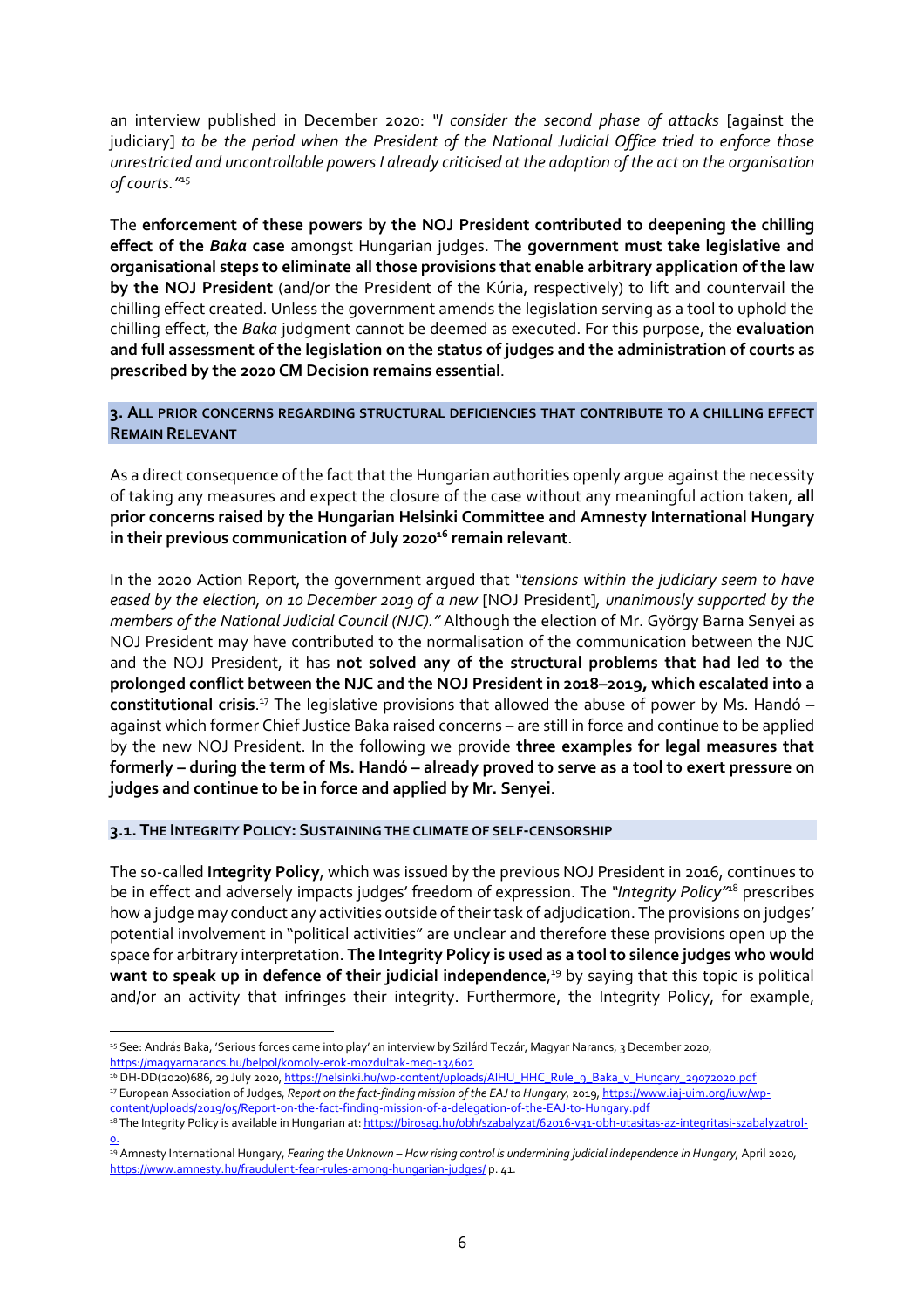an interview published in December 2020: *"I consider the second phase of attacks* [against the judiciary] *to be the period when the President of the National Judicial Office tried to enforce those unrestricted and uncontrollable powers I already criticised at the adoption of the act on the organisation of courts."*<sup>15</sup>

The **enforcement of these powers by the NOJ President contributed to deepening the chilling effect of the** *Baka* **case** amongst Hungarian judges. T**he government must take legislative and organisational steps to eliminate all those provisions that enable arbitrary application of the law by the NOJ President** (and/or the President of the Kúria, respectively) to lift and countervail the chilling effect created. Unless the government amends the legislation serving as a tool to uphold the chilling effect, the *Baka* judgment cannot be deemed as executed. For this purpose, the **evaluation and full assessment of the legislation on the status of judges and the administration of courts as prescribed by the 2020 CM Decision remains essential**.

**3. ALL PRIOR CONCERNS REGARDING STRUCTURAL DEFICIENCIES THAT CONTRIBUTE TO A CHILLING EFFECT REMAIN RELEVANT**

As a direct consequence of the fact that the Hungarian authorities openly argue against the necessity of taking any measures and expect the closure of the case without any meaningful action taken, **all prior concerns raised by the Hungarian Helsinki Committee and Amnesty International Hungary in their previous communication of July 2020<sup>16</sup> remain relevant**.

In the 2020 Action Report, the government argued that *"tensions within the judiciary seem to have eased by the election, on 10 December 2019 of a new* [NOJ President]*, unanimously supported by the members of the National Judicial Council (NJC)."* Although the election of Mr. György Barna Senyei as NOJ President may have contributed to the normalisation of the communication between the NJC and the NOJ President, it has **not solved any of the structural problems that had led to the prolonged conflict between the NJC and the NOJ President in 2018–2019, which escalated into a**  constitutional crisis.<sup>17</sup> The legislative provisions that allowed the abuse of power by Ms. Handó against which former Chief Justice Baka raised concerns – are still in force and continue to be applied by the new NOJ President. In the following we provide **three examples for legal measures that formerly – during the term of Ms. Handó – already proved to serve as a tool to exert pressure on judges and continue to be in force and applied by Mr. Senyei**.

**3.1. THE INTEGRITY POLICY: SUSTAINING THE CLIMATE OF SELF-CENSORSHIP**

 $\overline{a}$ 

The so-called **Integrity Policy**, which was issued by the previous NOJ President in 2016, continues to be in effect and adversely impacts judges' freedom of expression. The *"Integrity Policy"*<sup>18</sup> prescribes how a judge may conduct any activities outside of their task of adjudication. The provisions on judges' potential involvement in "political activities" are unclear and therefore these provisions open up the space for arbitrary interpretation. **The Integrity Policy is used as a tool to silence judges who would want to speak up in defence of their judicial independence**, <sup>19</sup> by saying that this topic is political and/or an activity that infringes their integrity. Furthermore, the Integrity Policy, for example,

<sup>&</sup>lt;sup>15</sup> See: András Baka, 'Serious forces came into play' an interview by Szilárd Teczár, Magyar Narancs, 3 December 2020, https://magyarnarancs.hu/belpol/komoly-erok-mozdultak-meg-134602

<sup>&</sup>lt;sup>16</sup> DH-DD(2020)686, 29 July 2020, https://helsinki.hu/wp-content/uploads/AIHU\_HHC\_Rule\_9\_Baka\_v\_Hungary\_29072020.pdf <sup>17</sup> European Association of Judges, *Report on the fact-finding mission of the EAJ to Hungary*, 2019, https://www.iaj-uim.org/iuw/wpcontent/uploads/2019/05/Report-on-the-fact-finding-mission-of-a-delegation-of-the-EAJ-to-Hungary.pdf

<sup>&</sup>lt;sup>18</sup> The Integrity Policy is available in Hungarian at: https://birosag.hu/obh/szabalyzat/62016-v31-obh-utasitas-az-integritasi-szabalyzatrol-<u>o.</u>

<sup>19</sup> Amnesty International Hungary, *Fearing the Unknown – How rising control is undermining judicial independence in Hungary,* April 2020*,*  https://www.amnesty.hu/fraudulent-fear-rules-among-hungarian-judges/ p. 41.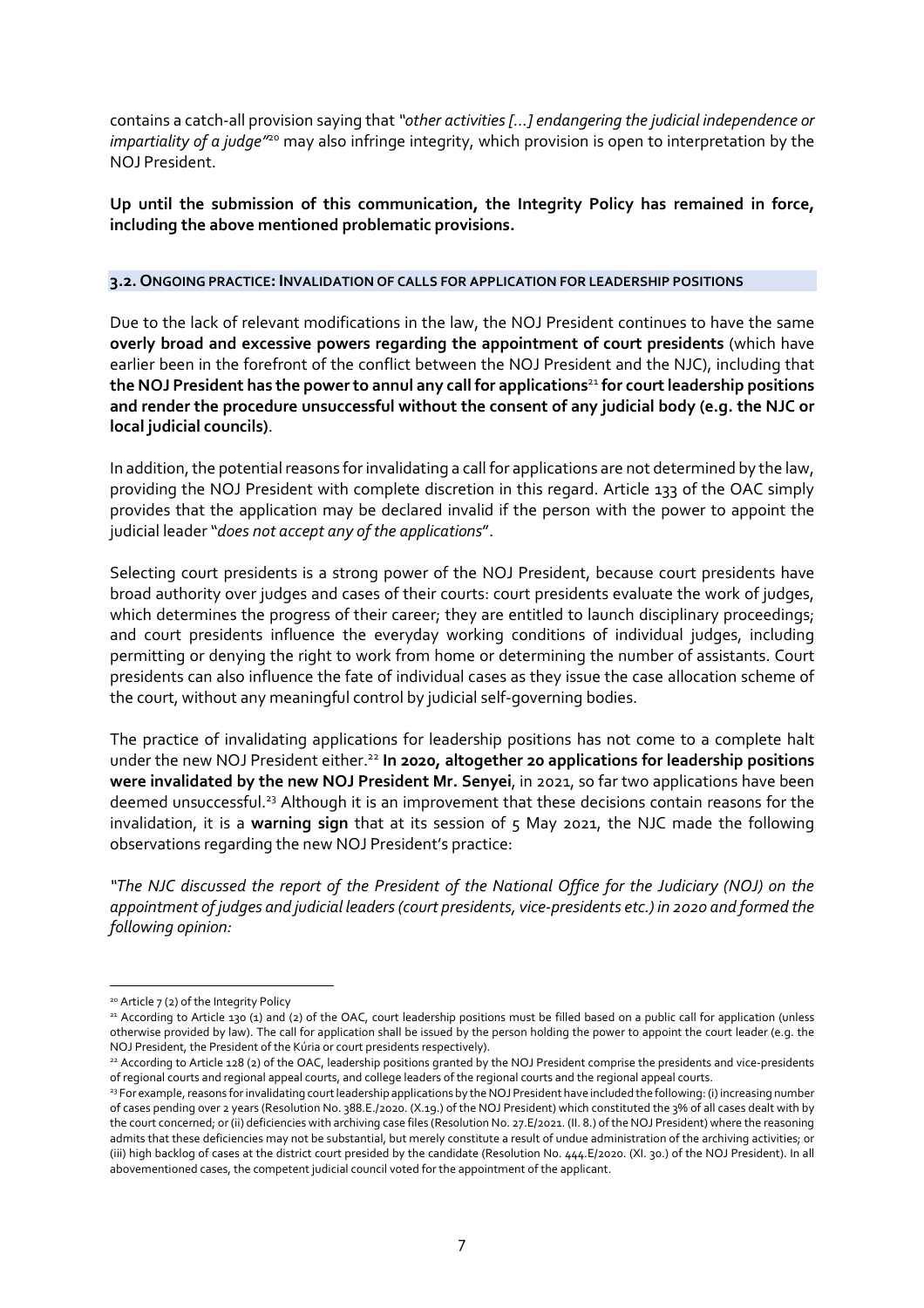contains a catch-all provision saying that *"other activities […] endangering the judicial independence or impartiality of a judge"*<sup>20</sup> may also infringe integrity, which provision is open to interpretation by the NOJ President.

**Up until the submission of this communication, the Integrity Policy has remained in force, including the above mentioned problematic provisions.**

## **3.2. ONGOING PRACTICE: INVALIDATION OF CALLS FOR APPLICATION FOR LEADERSHIP POSITIONS**

Due to the lack of relevant modifications in the law, the NOJ President continues to have the same **overly broad and excessive powers regarding the appointment of court presidents** (which have earlier been in the forefront of the conflict between the NOJ President and the NJC), including that **the NOJ President has the power to annul any call for applications**<sup>21</sup> **for court leadership positions and render the procedure unsuccessful without the consent of any judicial body (e.g. the NJC or local judicial councils)**.

In addition, the potential reasons for invalidating a call for applications are not determined by the law, providing the NOJ President with complete discretion in this regard. Article 133 of the OAC simply provides that the application may be declared invalid if the person with the power to appoint the judicial leader "*does not accept any of the applications*".

Selecting court presidents is a strong power of the NOJ President, because court presidents have broad authority over judges and cases of their courts: court presidents evaluate the work of judges, which determines the progress of their career; they are entitled to launch disciplinary proceedings; and court presidents influence the everyday working conditions of individual judges, including permitting or denying the right to work from home or determining the number of assistants. Court presidents can also influence the fate of individual cases as they issue the case allocation scheme of the court, without any meaningful control by judicial self-governing bodies.

The practice of invalidating applications for leadership positions has not come to a complete halt under the new NOJ President either.<sup>22</sup> In 2020, altogether 20 applications for leadership positions **were invalidated by the new NOJ President Mr. Senyei**, in 2021, so far two applications have been deemed unsuccessful.<sup>23</sup> Although it is an improvement that these decisions contain reasons for the invalidation, it is a **warning sign** that at its session of 5 May 2021, the NJC made the following observations regarding the new NOJ President's practice:

*"The NJC discussed the report of the President of the National Office for the Judiciary (NOJ) on the appointment of judges and judicial leaders (court presidents, vice-presidents etc.) in 2020 and formed the following opinion:* 

<sup>20</sup> Article 7 (2) of the Integrity Policy

<sup>&</sup>lt;sup>21</sup> According to Article 130 (1) and (2) of the OAC, court leadership positions must be filled based on a public call for application (unless otherwise provided by law). The call for application shall be issued by the person holding the power to appoint the court leader (e.g. the NOJ President, the President of the Kúria or court presidents respectively).

<sup>22</sup> According to Article 128 (2) of the OAC, leadership positions granted by the NOJ President comprise the presidents and vice-presidents of regional courts and regional appeal courts, and college leaders of the regional courts and the regional appeal courts.

<sup>23</sup> For example, reasons for invalidating court leadership applications by the NOJ President have included the following: (i) increasing number of cases pending over 2 years (Resolution No. 388.E./2020. (X.19.) of the NOJ President) which constituted the 3% of all cases dealt with by the court concerned; or (ii) deficiencies with archiving case files (Resolution No. 27.E/2021. (II. 8.) of the NOJ President) where the reasoning admits that these deficiencies may not be substantial, but merely constitute a result of undue administration of the archiving activities; or (iii) high backlog of cases at the district court presided by the candidate (Resolution No. 444.E/2020. (XI. 30.) of the NOJ President). In all abovementioned cases, the competent judicial council voted for the appointment of the applicant.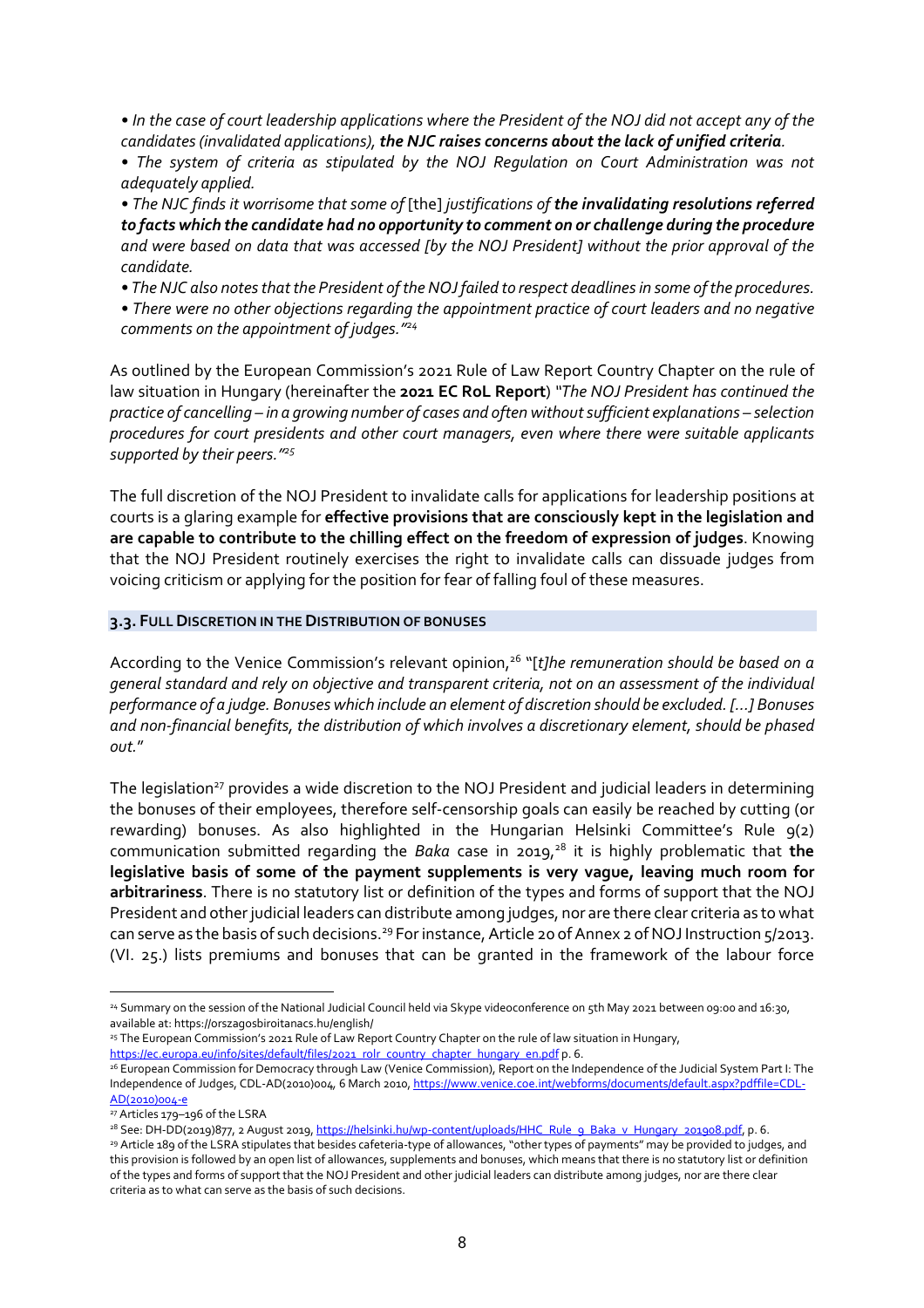*• In the case of court leadership applications where the President of the NOJ did not accept any of the candidates (invalidated applications), the NJC raises concerns about the lack of unified criteria.* 

*• The system of criteria as stipulated by the NOJ Regulation on Court Administration was not adequately applied.* 

*• The NJC finds it worrisome that some of* [the] *justifications of the invalidating resolutions referred to facts which the candidate had no opportunity to comment on or challenge during the procedure and were based on data that was accessed [by the NOJ President] without the prior approval of the candidate.* 

*• The NJC also notes that the President of the NOJ failed to respect deadlines in some of the procedures.* 

*• There were no other objections regarding the appointment practice of court leaders and no negative comments on the appointment of judges."<sup>24</sup>*

As outlined by the European Commission's 2021 Rule of Law Report Country Chapter on the rule of law situation in Hungary (hereinafter the **2021 EC RoL Report**) *"The NOJ President has continued the practice of cancelling – in a growing number of cases and often without sufficient explanations – selection procedures for court presidents and other court managers, even where there were suitable applicants supported by their peers."<sup>25</sup>*

The full discretion of the NOJ President to invalidate calls for applications for leadership positions at courts is a glaring example for **effective provisions that are consciously kept in the legislation and are capable to contribute to the chilling effect on the freedom of expression of judges**. Knowing that the NOJ President routinely exercises the right to invalidate calls can dissuade judges from voicing criticism or applying for the position for fear of falling foul of these measures.

## **3.3. FULL DISCRETION IN THE DISTRIBUTION OF BONUSES**

According to the Venice Commission's relevant opinion,<sup>26</sup> "[*t]he remuneration should be based on a general standard and rely on objective and transparent criteria, not on an assessment of the individual performance of a judge. Bonuses which include an element of discretion should be excluded. […] Bonuses and non-financial benefits, the distribution of which involves a discretionary element, should be phased out.*"

The legislation<sup>27</sup> provides a wide discretion to the NOJ President and judicial leaders in determining the bonuses of their employees, therefore self-censorship goals can easily be reached by cutting (or rewarding) bonuses. As also highlighted in the Hungarian Helsinki Committee's Rule 9(2) communication submitted regarding the *Baka* case in 2019,<sup>28</sup> it is highly problematic that the **legislative basis of some of the payment supplements is very vague, leaving much room for arbitrariness**. There is no statutory list or definition of the types and forms of support that the NOJ President and other judicial leaders can distribute among judges, nor are there clear criteria as to what can serve as the basis of such decisions.<sup>29</sup> For instance, Article 20 of Annex 2 of NOJ Instruction 5/2013. (VI. 25.) lists premiums and bonuses that can be granted in the framework of the labour force

 $\overline{a}$ 

<sup>28</sup> See: DH-DD(2019)877, 2 August 2019, https://helsinki.hu/wp-content/uploads/HHC\_Rule\_9\_Baka\_v\_Hungary\_201908.pdf, p. 6. <sup>29</sup> Article 189 of the LSRA stipulates that besides cafeteria-type of allowances, "other types of payments" may be provided to judges, and this provision is followed by an open list of allowances, supplements and bonuses, which means that there is no statutory list or definition of the types and forms of support that the NOJ President and other judicial leaders can distribute among judges, nor are there clear criteria as to what can serve as the basis of such decisions.

<sup>24</sup> Summary on the session of the National Judicial Council held via Skype videoconference on 5th May 2021 between 09:00 and 16:30, available at: https://orszagosbiroitanacs.hu/english/

<sup>25</sup> The European Commission's 2021 Rule of Law Report Country Chapter on the rule of law situation in Hungary, https://ec.europa.eu/info/sites/default/files/2021\_rolr\_country\_chapter\_hungary\_en.pdf p. 6.

<sup>26</sup> European Commission for Democracy through Law (Venice Commission), Report on the Independence of the Judicial System Part I: The Independence of Judges, CDL-AD(2010)004*,* 6 March 2010, https://www.venice.coe.int/webforms/documents/default.aspx?pdffile=CDL-AD(2010)004-e

<sup>27</sup> Articles 179–196 of the LSRA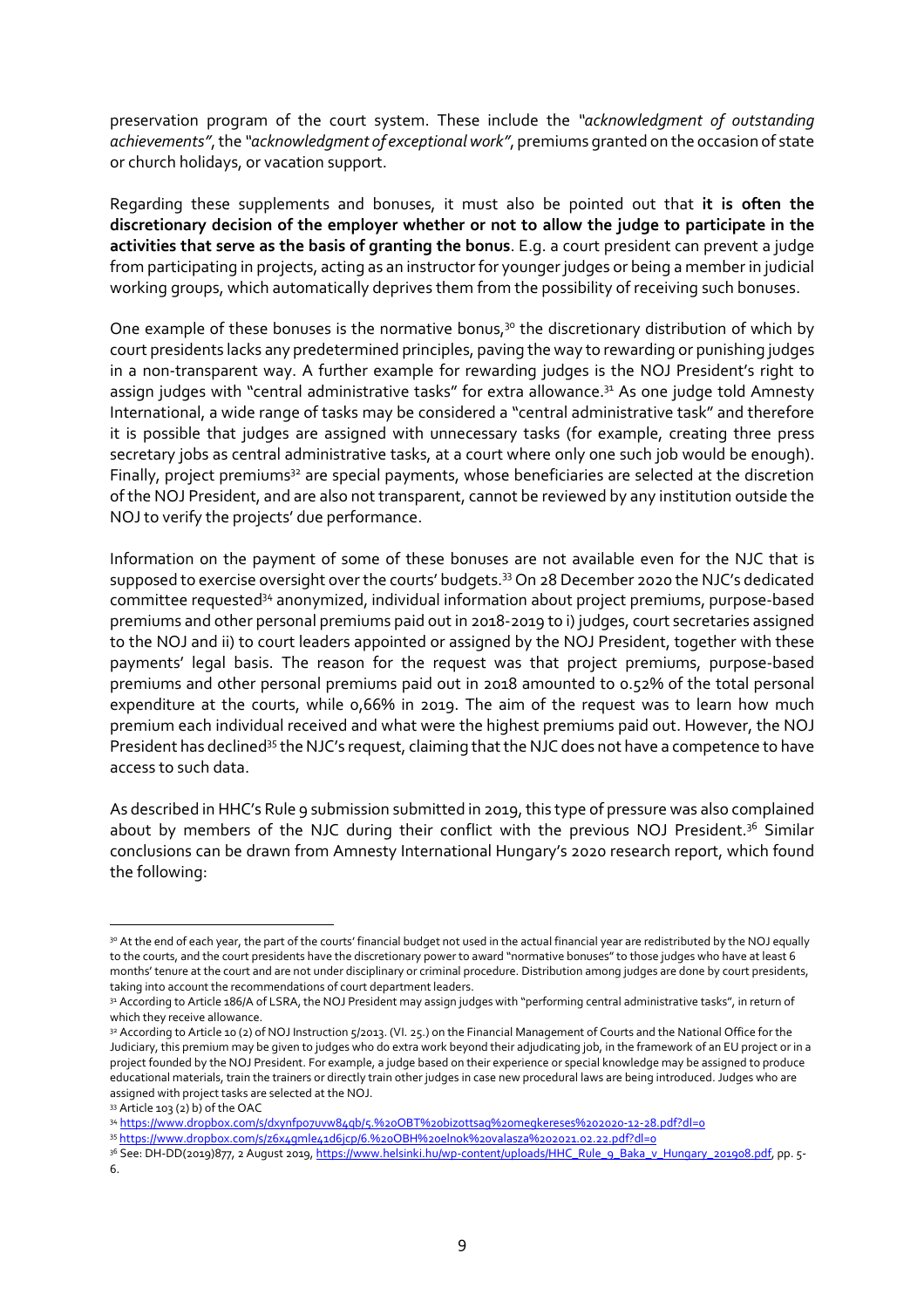preservation program of the court system. These include the *"acknowledgment of outstanding achievements"*, the *"acknowledgment of exceptional work"*, premiums granted on the occasion of state or church holidays, or vacation support.

Regarding these supplements and bonuses, it must also be pointed out that **it is often the discretionary decision of the employer whether or not to allow the judge to participate in the activities that serve as the basis of granting the bonus**. E.g. a court president can prevent a judge from participating in projects, acting as an instructor for younger judges or being a member in judicial working groups, which automatically deprives them from the possibility of receiving such bonuses.

One example of these bonuses is the normative bonus,<sup>30</sup> the discretionary distribution of which by court presidents lacks any predetermined principles, paving the way to rewarding or punishing judges in a non-transparent way. A further example for rewarding judges is the NOJ President's right to assign judges with "central administrative tasks" for extra allowance.<sup>31</sup> As one judge told Amnesty International, a wide range of tasks may be considered a "central administrative task" and therefore it is possible that judges are assigned with unnecessary tasks (for example, creating three press secretary jobs as central administrative tasks, at a court where only one such job would be enough). Finally, project premiums<sup>32</sup> are special payments, whose beneficiaries are selected at the discretion of the NOJ President, and are also not transparent, cannot be reviewed by any institution outside the NOJ to verify the projects' due performance.

Information on the payment of some of these bonuses are not available even for the NJC that is supposed to exercise oversight over the courts' budgets.<sup>33</sup> On 28 December 2020 the NJC's dedicated committee requested<sup>34</sup> anonymized, individual information about project premiums, purpose-based premiums and other personal premiums paid out in 2018-2019 to i) judges, court secretaries assigned to the NOJ and ii) to court leaders appointed or assigned by the NOJ President, together with these payments' legal basis. The reason for the request was that project premiums, purpose-based premiums and other personal premiums paid out in 2018 amounted to 0.52% of the total personal expenditure at the courts, while 0,66% in 2019. The aim of the request was to learn how much premium each individual received and what were the highest premiums paid out. However, the NOJ President has declined<sup>35</sup> the NJC's request, claiming that the NJC does not have a competence to have access to such data.

As described in HHC's Rule 9 submission submitted in 2019, this type of pressure was also complained about by members of the NJC during their conflict with the previous NOJ President.<sup>36</sup> Similar conclusions can be drawn from Amnesty International Hungary's 2020 research report, which found the following:

<sup>3</sup>º At the end of each year, the part of the courts' financial budget not used in the actual financial year are redistributed by the NOJ equally to the courts, and the court presidents have the discretionary power to award "normative bonuses" to those judges who have at least 6 months' tenure at the court and are not under disciplinary or criminal procedure. Distribution among judges are done by court presidents, taking into account the recommendations of court department leaders.

<sup>31</sup> According to Article 186/A of LSRA, the NOJ President may assign judges with "performing central administrative tasks", in return of which they receive allowance.

<sup>32</sup> According to Article 10 (2) of NOJ Instruction 5/2013. (VI. 25.) on the Financial Management of Courts and the National Office for the Judiciary, this premium may be given to judges who do extra work beyond their adjudicating job, in the framework of an EU project or in a project founded by the NOJ President. For example, a judge based on their experience or special knowledge may be assigned to produce educational materials, train the trainers or directly train other judges in case new procedural laws are being introduced. Judges who are assigned with project tasks are selected at the NOJ.

<sup>33</sup> Article 103 (2) b) of the OAC

<sup>34</sup> https://www.dropbox.com/s/dxynfpo7uvw84qb/s.%20OBT%20bizottsag%20megkereses%202020-12-28.pdf?dl=0

<sup>35</sup> https://www.dropbox.com/s/z6x4gmle41d6jcp/6.%20OBH%20elnok%20valasza%202021.02.22.pdf?dl=0

<sup>&</sup>lt;sup>36</sup> See: DH-DD(2019)877, 2 August 2019, https://www.helsinki.hu/wp-content/uploads/HHC\_Rule\_9\_Baka\_v\_Hungary\_201908.pdf, pp. 5-6.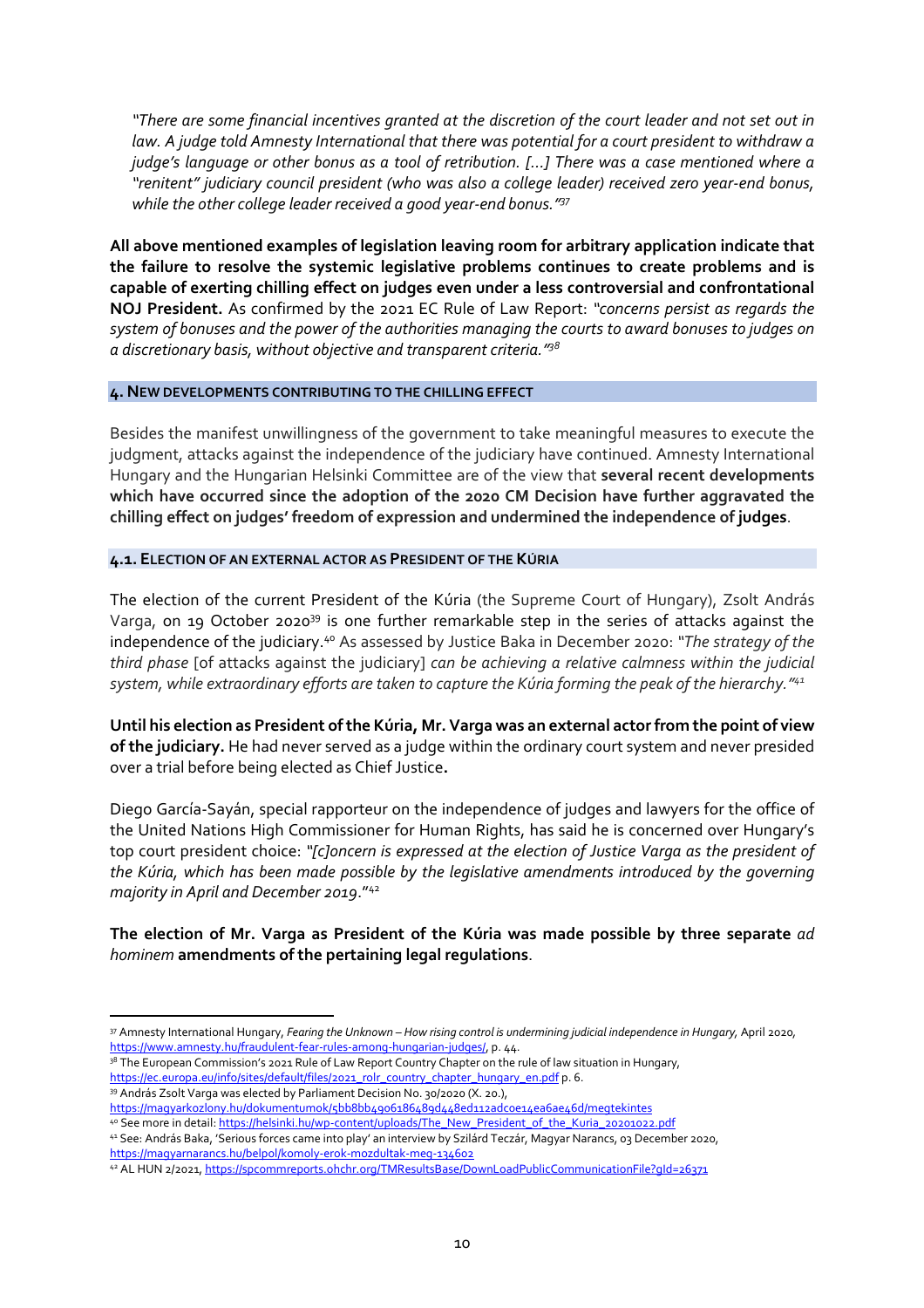*"There are some financial incentives granted at the discretion of the court leader and not set out in law. A judge told Amnesty International that there was potential for a court president to withdraw a judge's language or other bonus as a tool of retribution. […] There was a case mentioned where a "renitent" judiciary council president (who was also a college leader) received zero year-end bonus, while the other college leader received a good year-end bonus."<sup>37</sup>*

**All above mentioned examples of legislation leaving room for arbitrary application indicate that the failure to resolve the systemic legislative problems continues to create problems and is capable of exerting chilling effect on judges even under a less controversial and confrontational NOJ President.** As confirmed by the 2021 EC Rule of Law Report: *"concerns persist as regards the system of bonuses and the power of the authorities managing the courts to award bonuses to judges on a discretionary basis, without objective and transparent criteria."<sup>38</sup>*

#### **4. NEW DEVELOPMENTS CONTRIBUTING TO THE CHILLING EFFECT**

Besides the manifest unwillingness of the government to take meaningful measures to execute the judgment, attacks against the independence of the judiciary have continued. Amnesty International Hungary and the Hungarian Helsinki Committee are of the view that **several recent developments which have occurred since the adoption of the 2020 CM Decision have further aggravated the chilling effect on judges' freedom of expression and undermined the independence of judges**.

#### **4.1. ELECTION OF AN EXTERNAL ACTOR AS PRESIDENT OF THE KÚRIA**

The election of the current President of the Kúria (the Supreme Court of Hungary), Zsolt András Varga, on 19 October 2020<sup>39</sup> is one further remarkable step in the series of attacks against the independence of the judiciary.<sup>40</sup> As assessed by Justice Baka in December 2020: *"The strategy of the third phase* [of attacks against the judiciary] *can be achieving a relative calmness within the judicial system, while extraordinary efforts are taken to capture the Kúria forming the peak of the hierarchy."<sup>41</sup>*

**Until his election as President of the Kúria, Mr. Varga was an external actor from the point of view of the judiciary.** He had never served as a judge within the ordinary court system and never presided over a trial before being elected as Chief Justice**.** 

Diego García-Sayán, special rapporteur on the independence of judges and lawyers for the office of the United Nations High Commissioner for Human Rights, has said he is concerned over Hungary's top court president choice: *"[c]oncern is expressed at the election of Justice Varga as the president of the Kúria, which has been made possible by the legislative amendments introduced by the governing majority in April and December 2019*."<sup>42</sup>

# **The election of Mr. Varga as President of the Kúria was made possible by three separate** *ad hominem* **amendments of the pertaining legal regulations**.

<sup>37</sup> Amnesty International Hungary, *Fearing the Unknown – How rising control is undermining judicial independence in Hungary,* April 2020*,*  https://www.amnesty.hu/fraudulent-fear-rules-among-hungarian-judges/, p. 44.

<sup>&</sup>lt;sup>38</sup> The European Commission's 2021 Rule of Law Report Country Chapter on the rule of law situation in Hungary, https://ec.europa.eu/info/sites/default/files/2021\_rolr\_country\_chapter\_hungary\_en.pdf p. 6.

<sup>39</sup> András Zsolt Varga was elected by Parliament Decision No. 30/2020 (X. 20.),

https://magyarkozlony.hu/dokumentumok/5bb8bb4906186489d448ed112adc0e14ea6ae46d/megtekintes 4º See more in detail: https://helsinki.hu/wp-content/uploads/The\_New\_President\_of\_the\_Kuria\_20201022.pdf

<sup>41</sup> See: András Baka, 'Serious forces came into play' an interview by Szilárd Teczár, Magyar Narancs, 03 December 2020, https://magyarnarancs.hu/belpol/komoly-erok-mozdultak-meg-134602

<sup>42</sup> AL HUN 2/2021, https://spcommreports.ohchr.org/TMResultsBase/DownLoadPublicCommunicationFile?gId=26371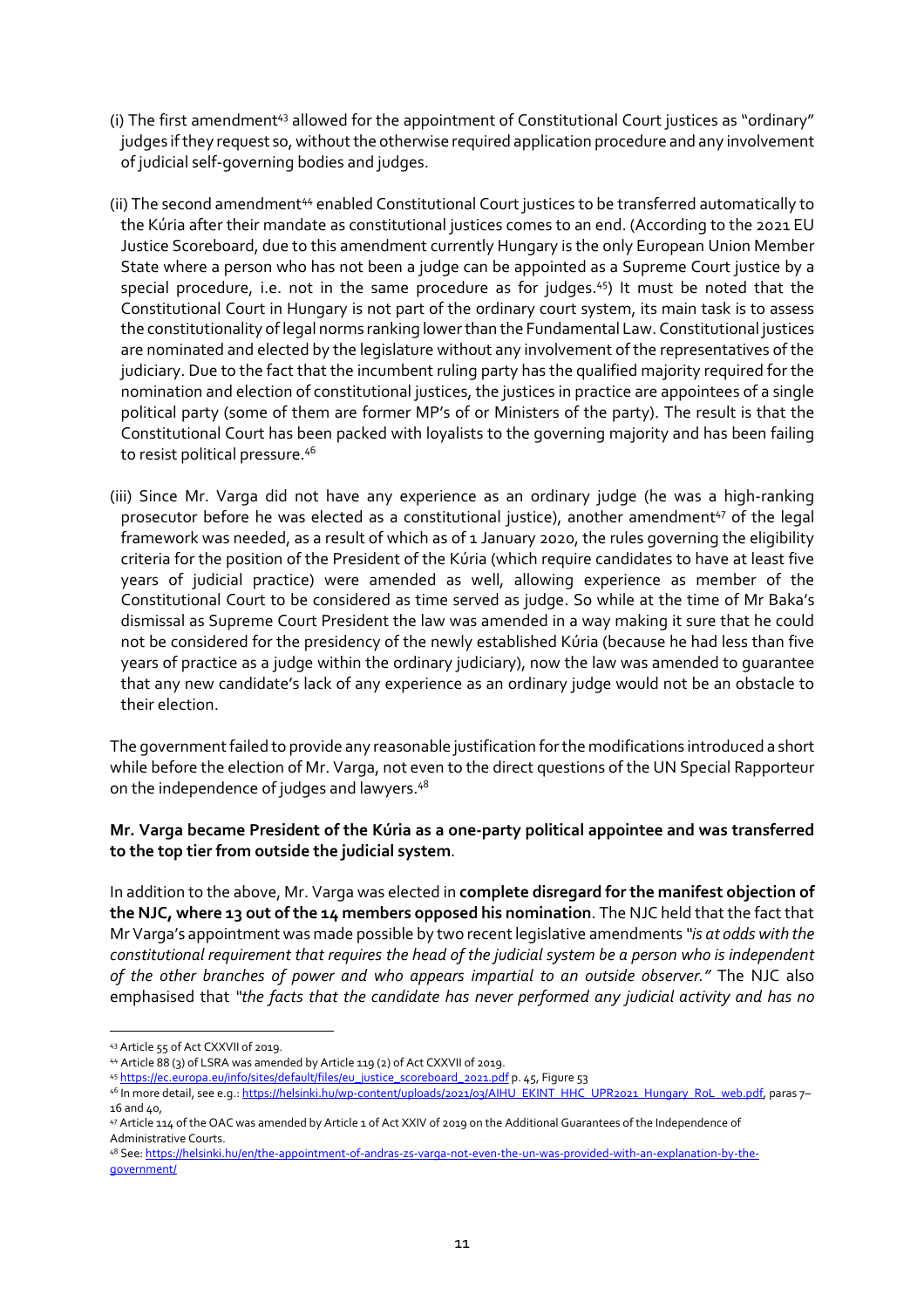- (i) The first amendment<sup>43</sup> allowed for the appointment of Constitutional Court justices as "ordinary" judges if they request so, without the otherwise required application procedure and any involvement of judicial self-governing bodies and judges.
- (ii) The second amendment<sup>44</sup> enabled Constitutional Court justices to be transferred automatically to the Kúria after their mandate as constitutional justices comes to an end. (According to the 2021 EU Justice Scoreboard, due to this amendment currently Hungary is the only European Union Member State where a person who has not been a judge can be appointed as a Supreme Court justice by a special procedure, i.e. not in the same procedure as for judges.<sup>45</sup>) It must be noted that the Constitutional Court in Hungary is not part of the ordinary court system, its main task is to assess the constitutionality of legal norms ranking lower than the Fundamental Law. Constitutional justices are nominated and elected by the legislature without any involvement of the representatives of the judiciary. Due to the fact that the incumbent ruling party has the qualified majority required for the nomination and election of constitutional justices, the justices in practice are appointees of a single political party (some of them are former MP's of or Ministers of the party). The result is that the Constitutional Court has been packed with loyalists to the governing majority and has been failing to resist political pressure.<sup>46</sup>
- (iii) Since Mr. Varga did not have any experience as an ordinary judge (he was a high-ranking prosecutor before he was elected as a constitutional justice), another amendment<sup>47</sup> of the legal framework was needed, as a result of which as of 1 January 2020, the rules governing the eligibility criteria for the position of the President of the Kúria (which require candidates to have at least five years of judicial practice) were amended as well, allowing experience as member of the Constitutional Court to be considered as time served as judge. So while at the time of Mr Baka's dismissal as Supreme Court President the law was amended in a way making it sure that he could not be considered for the presidency of the newly established Kúria (because he had less than five years of practice as a judge within the ordinary judiciary), now the law was amended to guarantee that any new candidate's lack of any experience as an ordinary judge would not be an obstacle to their election.

The government failed to provide any reasonable justification for the modifications introduced a short while before the election of Mr. Varga, not even to the direct questions of the UN Special Rapporteur on the independence of judges and lawyers.<sup>48</sup>

# **Mr. Varga became President of the Kúria as a one-party political appointee and was transferred to the top tier from outside the judicial system**.

In addition to the above, Mr. Varga was elected in **complete disregard for the manifest objection of the NJC, where 13 out of the 14 members opposed his nomination**. The NJC held that the fact that Mr Varga's appointment was made possible by two recent legislative amendments *"is at odds with the constitutional requirement that requires the head of the judicial system be a person who is independent of the other branches of power and who appears impartial to an outside observer."* The NJC also emphasised that *"the facts that the candidate has never performed any judicial activity and has no* 

<sup>43</sup> Article 55 of Act CXXVII of 2019.

<sup>44</sup> Article 88 (3) of LSRA was amended by Article 119 (2) of Act CXXVII of 2019.

<sup>45</sup> https://ec.europa.eu/info/sites/default/files/eu\_justice\_scoreboard\_2021.pdf p. 45, Figure 53

<sup>46</sup> In more detail, see e.g.: https://helsinki.hu/wp-content/uploads/2021/03/AIHU\_EKINT\_HHC\_UPR2021\_Hungary\_RoL\_web.pdf, paras 7–  $16$  and  $40$ .

<sup>47</sup> Article 114 of the OAC was amended by Article 1 of Act XXIV of 2019 on the Additional Guarantees of the Independence of Administrative Courts.

<sup>48</sup> See: https://helsinki.hu/en/the-appointment-of-andras-zs-varga-not-even-the-un-was-provided-with-an-explanation-by-thegovernment/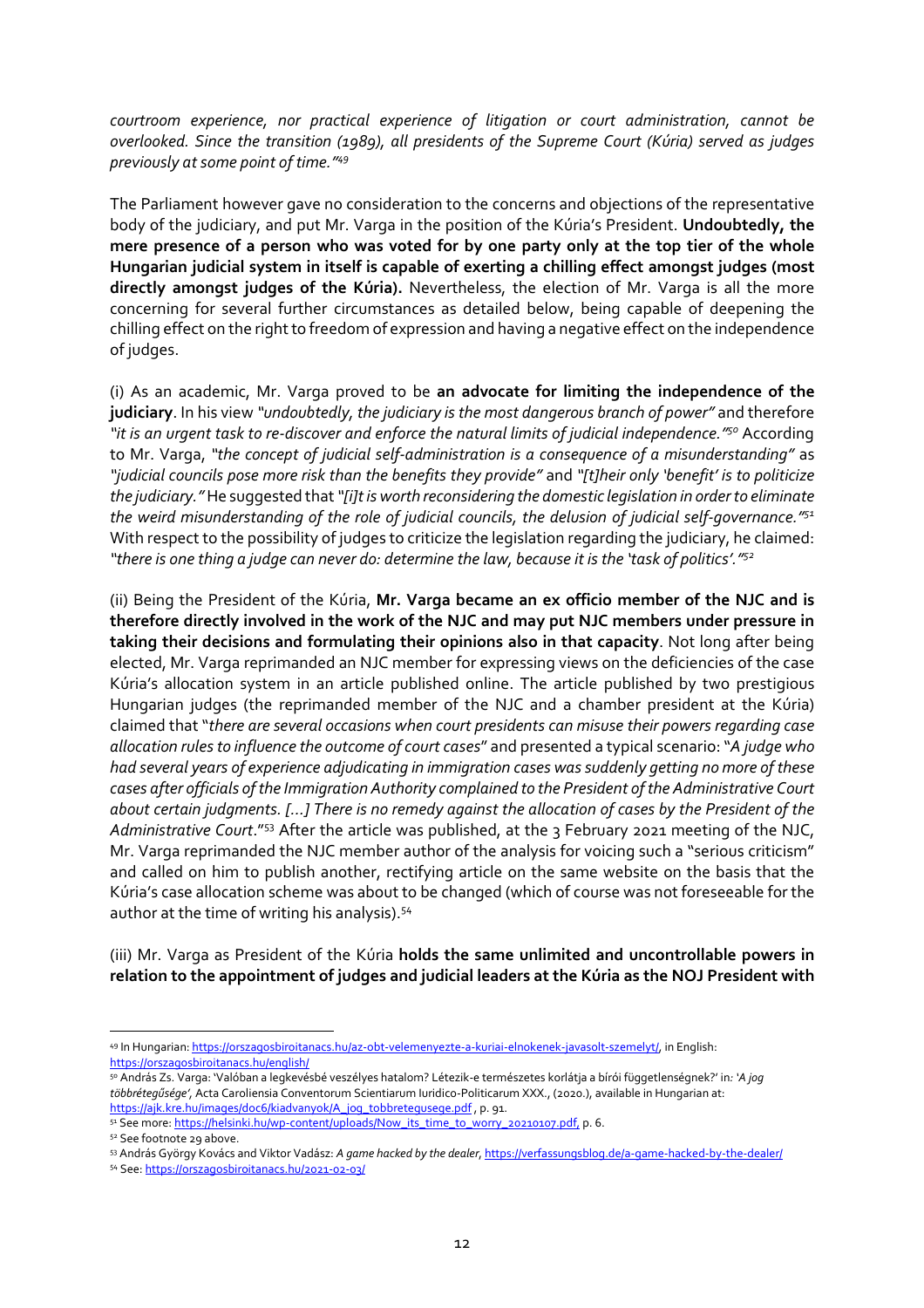*courtroom experience, nor practical experience of litigation or court administration, cannot be overlooked. Since the transition (1989), all presidents of the Supreme Court (Kúria) served as judges previously at some point of time."<sup>49</sup>*

The Parliament however gave no consideration to the concerns and objections of the representative body of the judiciary, and put Mr. Varga in the position of the Kúria's President. **Undoubtedly, the mere presence of a person who was voted for by one party only at the top tier of the whole Hungarian judicial system in itself is capable of exerting a chilling effect amongst judges (most directly amongst judges of the Kúria).** Nevertheless, the election of Mr. Varga is all the more concerning for several further circumstances as detailed below, being capable of deepening the chilling effect on the right to freedom of expression and having a negative effect on the independence of judges.

(i) As an academic, Mr. Varga proved to be **an advocate for limiting the independence of the judiciary**. In his view *"undoubtedly, the judiciary is the most dangerous branch of power"* and therefore *"it is an urgent task to re-discover and enforce the natural limits of judicial independence."<sup>50</sup>* According to Mr. Varga, *"the concept of judicial self-administration is a consequence of a misunderstanding"* as *"judicial councils pose more risk than the benefits they provide"* and *"[t]heir only 'benefit' is to politicize the judiciary."* He suggested that *"[i]t is worth reconsidering the domestic legislation in order to eliminate the weird misunderstanding of the role of judicial councils, the delusion of judicial self-governance." 51* With respect to the possibility of judges to criticize the legislation regarding the judiciary, he claimed: *"there is one thing a judge can never do: determine the law, because it is the 'task of politics'."<sup>52</sup>*

(ii) Being the President of the Kúria, **Mr. Varga became an ex officio member of the NJC and is therefore directly involved in the work of the NJC and may put NJC members under pressure in taking their decisions and formulating their opinions also in that capacity**. Not long after being elected, Mr. Varga reprimanded an NJC member for expressing views on the deficiencies of the case Kúria's allocation system in an article published online. The article published by two prestigious Hungarian judges (the reprimanded member of the NJC and a chamber president at the Kúria) claimed that "*there are several occasions when court presidents can misuse their powers regarding case allocation rules to influence the outcome of court cases*" and presented a typical scenario: "*A judge who had several years of experience adjudicating in immigration cases was suddenly getting no more of these cases after officials of the Immigration Authority complained to the President of the Administrative Court about certain judgments. […] There is no remedy against the allocation of cases by the President of the Administrative Court*."<sup>53</sup> After the article was published, at the 3 February 2021 meeting of the NJC, Mr. Varga reprimanded the NJC member author of the analysis for voicing such a "serious criticism" and called on him to publish another, rectifying article on the same website on the basis that the Kúria's case allocation scheme was about to be changed (which of course was not foreseeable for the author at the time of writing his analysis).<sup>54</sup>

(iii) Mr. Varga as President of the Kúria **holds the same unlimited and uncontrollable powers in relation to the appointment of judges and judicial leaders at the Kúria as the NOJ President with** 

<sup>52</sup> See footnote 29 above.

<sup>49</sup> In Hungarian: https://orszagosbiroitanacs.hu/az-obt-velemenyezte-a-kuriai-elnokenek-javasolt-szemelyt/, in English: https://orszagosbiroitanacs.hu/english/

<sup>50</sup> András Zs. Varga: 'Valóban a legkevésbé veszélyes hatalom? Létezik-e természetes korlátja a bírói függetlenségnek?' in*: 'A jog többrétegűsége',* Acta Caroliensia Conventorum Scientiarum Iuridico-Politicarum XXX., (2020.), available in Hungarian at: https://ajk.kre.hu/images/doc6/kiadvanyok/A\_jog\_tobbretegusege.pdf, p. 91.

<sup>&</sup>lt;sup>51</sup> See more: https://helsinki.hu/wp-content/uploads/Now\_its\_time\_to\_worry\_20210107.pdf, p. 6.

<sup>53</sup> András György Kovács and Viktor Vadász: *A game hacked by the dealer*, https://verfassungsblog.de/a-game-hacked-by-the-dealer/ 54 See: https://orszagosbiroitanacs.hu/2021-02-03/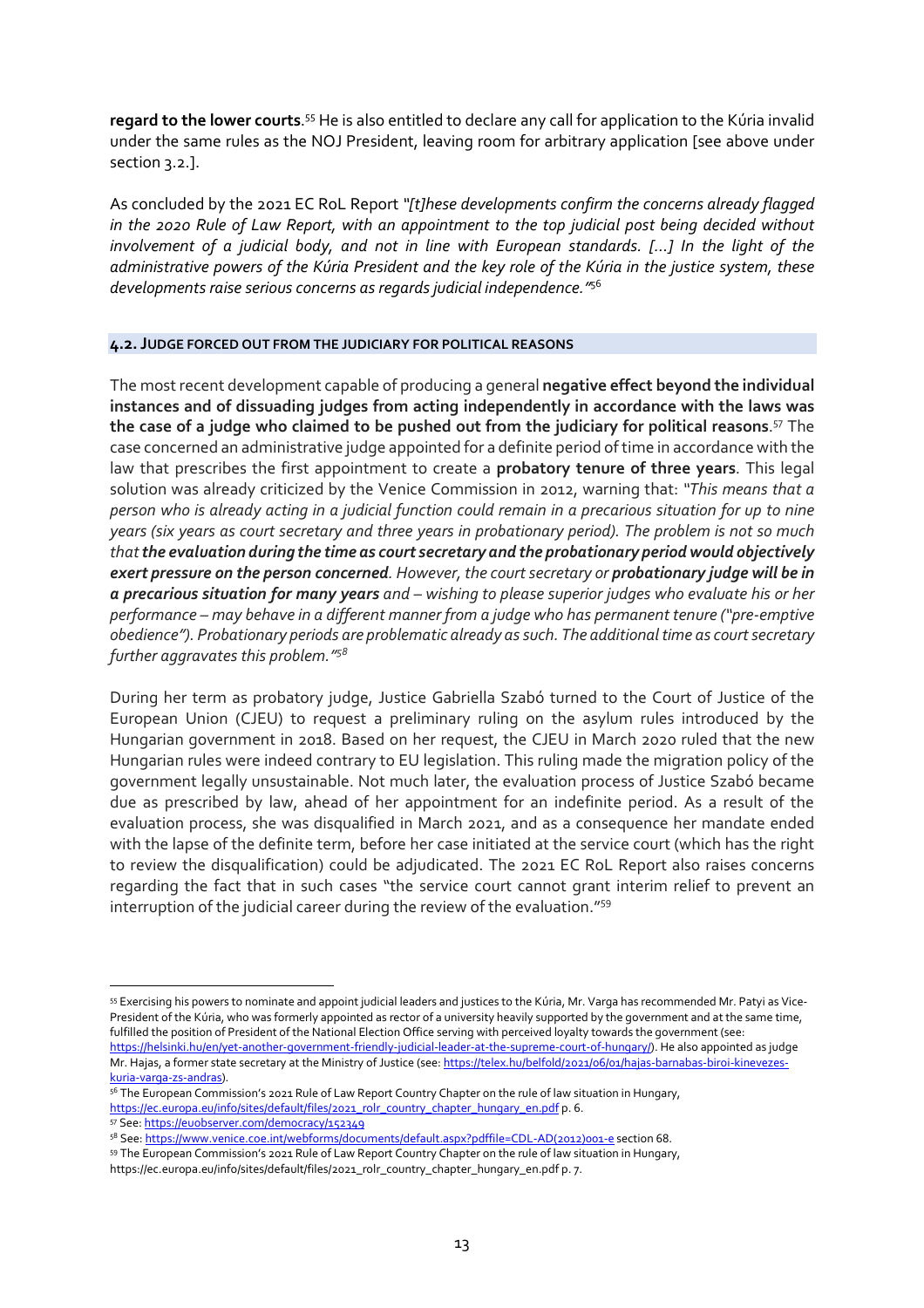regard to the lower courts.<sup>55</sup> He is also entitled to declare any call for application to the Kúria invalid under the same rules as the NOJ President, leaving room for arbitrary application [see above under section 3.2.].

As concluded by the 2021 EC RoL Report *"[t]hese developments confirm the concerns already flagged in the 2020 Rule of Law Report, with an appointment to the top judicial post being decided without involvement of a judicial body, and not in line with European standards. [...] In the light of the administrative powers of the Kúria President and the key role of the Kúria in the justice system, these developments raise serious concerns as regards judicial independence."*<sup>56</sup>

## **4.2. JUDGE FORCED OUT FROM THE JUDICIARY FOR POLITICAL REASONS**

The most recent development capable of producing a general **negative effect beyond the individual instances and of dissuading judges from acting independently in accordance with the laws was the case of a judge who claimed to be pushed out from the judiciary for political reasons**. <sup>57</sup> The case concerned an administrative judge appointed for a definite period of time in accordance with the law that prescribes the first appointment to create a **probatory tenure of three years**. This legal solution was already criticized by the Venice Commission in 2012, warning that: *"This means that a person who is already acting in a judicial function could remain in a precarious situation for up to nine years (six years as court secretary and three years in probationary period). The problem is not so much that the evaluation during the time as court secretary and the probationary period would objectively exert pressure on the person concerned. However, the court secretary or probationary judge will be in a precarious situation for many years and – wishing to please superior judges who evaluate his or her performance – may behave in a different manner from a judge who has permanent tenure ("pre-emptive obedience"). Probationary periods are problematic already as such. The additional time as court secretary further aggravates this problem."<sup>58</sup>*

During her term as probatory judge, Justice Gabriella Szabó turned to the Court of Justice of the European Union (CJEU) to request a preliminary ruling on the asylum rules introduced by the Hungarian government in 2018. Based on her request, the CJEU in March 2020 ruled that the new Hungarian rules were indeed contrary to EU legislation. This ruling made the migration policy of the government legally unsustainable. Not much later, the evaluation process of Justice Szabó became due as prescribed by law, ahead of her appointment for an indefinite period. As a result of the evaluation process, she was disqualified in March 2021, and as a consequence her mandate ended with the lapse of the definite term, before her case initiated at the service court (which has the right to review the disqualification) could be adjudicated. The 2021 EC RoL Report also raises concerns regarding the fact that in such cases "the service court cannot grant interim relief to prevent an interruption of the judicial career during the review of the evaluation."<sup>59</sup>

<sup>55</sup> Exercising his powers to nominate and appoint judicial leaders and justices to the Kúria, Mr. Varga has recommended Mr. Patyi as Vice-President of the Kúria, who was formerly appointed as rector of a university heavily supported by the government and at the same time, fulfilled the position of President of the National Election Office serving with perceived loyalty towards the government (see: https://helsinki.hu/en/yet-another-government-friendly-judicial-leader-at-the-supreme-court-of-hungary/). He also appointed as judge Mr. Hajas, a former state secretary at the Ministry of Justice (see: https://telex.hu/belfold/2021/06/01/hajas-barnabas-biroi-kinevezeskuria-varga-zs-andras).

<sup>&</sup>lt;sup>56</sup> The European Commission's 2021 Rule of Law Report Country Chapter on the rule of law situation in Hungary, https://ec.europa.eu/info/sites/default/files/2021\_rolr\_country\_chapter\_hungary\_en.pdf p. 6.

<sup>57</sup> See: https://euobserver.com/democracy/152349

<sup>58</sup> See: https://www.venice.coe.int/webforms/documents/default.aspx?pdffile=CDL-AD(2012)001-e section 68. <sup>59</sup> The European Commission's 2021 Rule of Law Report Country Chapter on the rule of law situation in Hungary, https://ec.europa.eu/info/sites/default/files/2021\_rolr\_country\_chapter\_hungary\_en.pdf p. 7.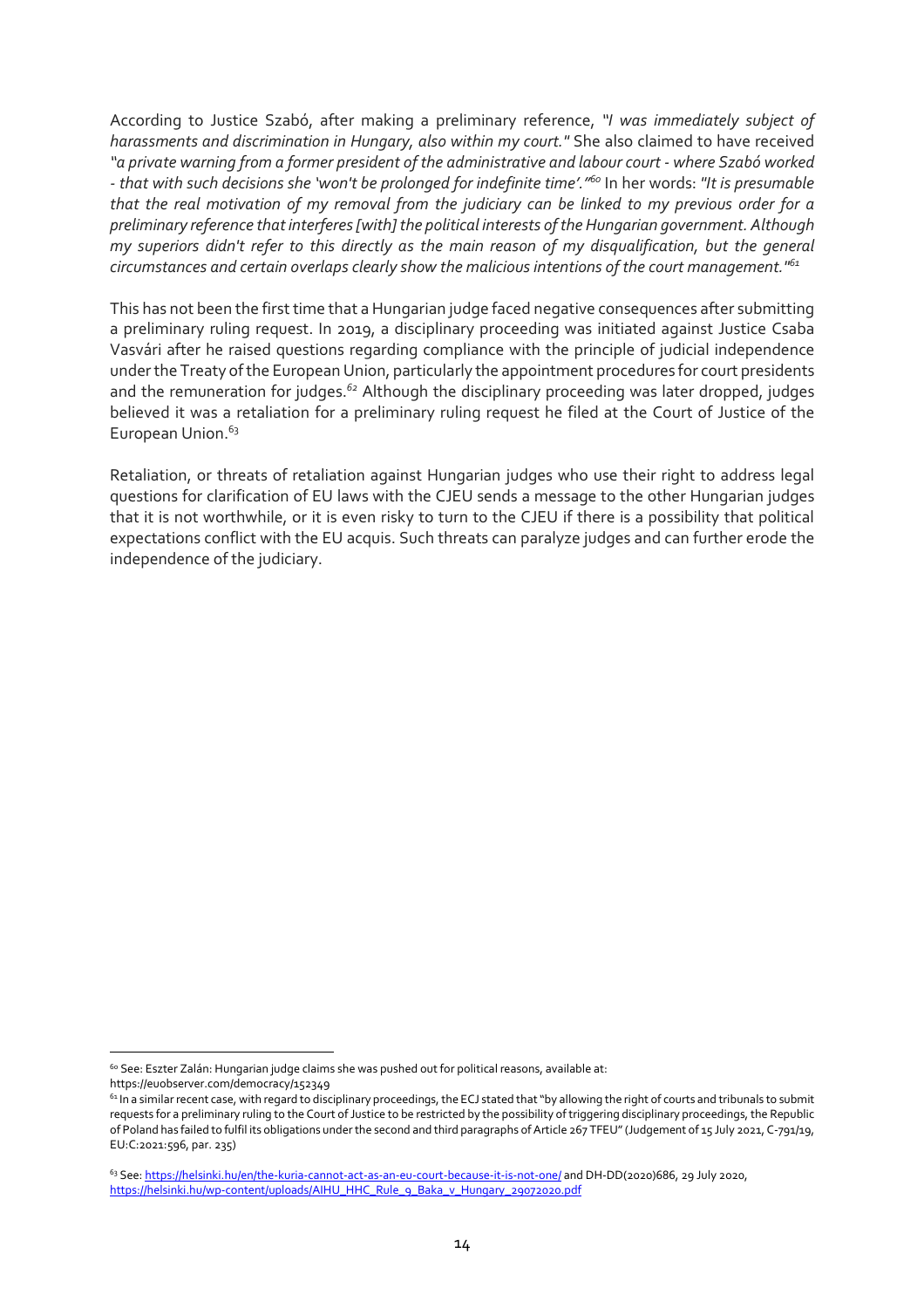According to Justice Szabó, after making a preliminary reference, *"I was immediately subject of harassments and discrimination in Hungary, also within my court."* She also claimed to have received *"a private warning from a former president of the administrative and labour court - where Szabó worked - that with such decisions she 'won't be prolonged for indefinite time'."<sup>60</sup>* In her words: *"It is presumable that the real motivation of my removal from the judiciary can be linked to my previous order for a preliminary reference that interferes [with] the political interests of the Hungarian government. Although my superiors didn't refer to this directly as the main reason of my disqualification, but the general circumstances and certain overlaps clearly show the malicious intentions of the court management."<sup>61</sup>*

This has not been the first time that a Hungarian judge faced negative consequences after submitting a preliminary ruling request. In 2019, a disciplinary proceeding was initiated against Justice Csaba Vasvári after he raised questions regarding compliance with the principle of judicial independence under the Treaty of the European Union, particularly the appointment procedures for court presidents and the remuneration for judges.*<sup>62</sup>* Although the disciplinary proceeding was later dropped, judges believed it was a retaliation for a preliminary ruling request he filed at the Court of Justice of the European Union.<sup>63</sup>

Retaliation, or threats of retaliation against Hungarian judges who use their right to address legal questions for clarification of EU laws with the CJEU sends a message to the other Hungarian judges that it is not worthwhile, or it is even risky to turn to the CJEU if there is a possibility that political expectations conflict with the EU acquis. Such threats can paralyze judges and can further erode the independence of the judiciary.

<sup>&</sup>lt;sup>60</sup> See: Eszter Zalán: Hungarian judge claims she was pushed out for political reasons, available at:

https://euobserver.com/democracy/152349

 $61$  In a similar recent case, with regard to disciplinary proceedings, the ECJ stated that "by allowing the right of courts and tribunals to submit requests for a preliminary ruling to the Court of Justice to be restricted by the possibility of triggering disciplinary proceedings, the Republic of Poland has failed to fulfil its obligations under the second and third paragraphs of Article 267 TFEU" (Judgement of 15 July 2021, C-791/19, EU:C:2021:596, par. 235)

<sup>63</sup> See: https://helsinki.hu/en/the-kuria-cannot-act-as-an-eu-court-because-it-is-not-one/ and DH-DD(2020)686, 29 July 2020, https://helsinki.hu/wp-content/uploads/AIHU\_HHC\_Rule\_9\_Baka\_v\_Hungary\_29072020.pdf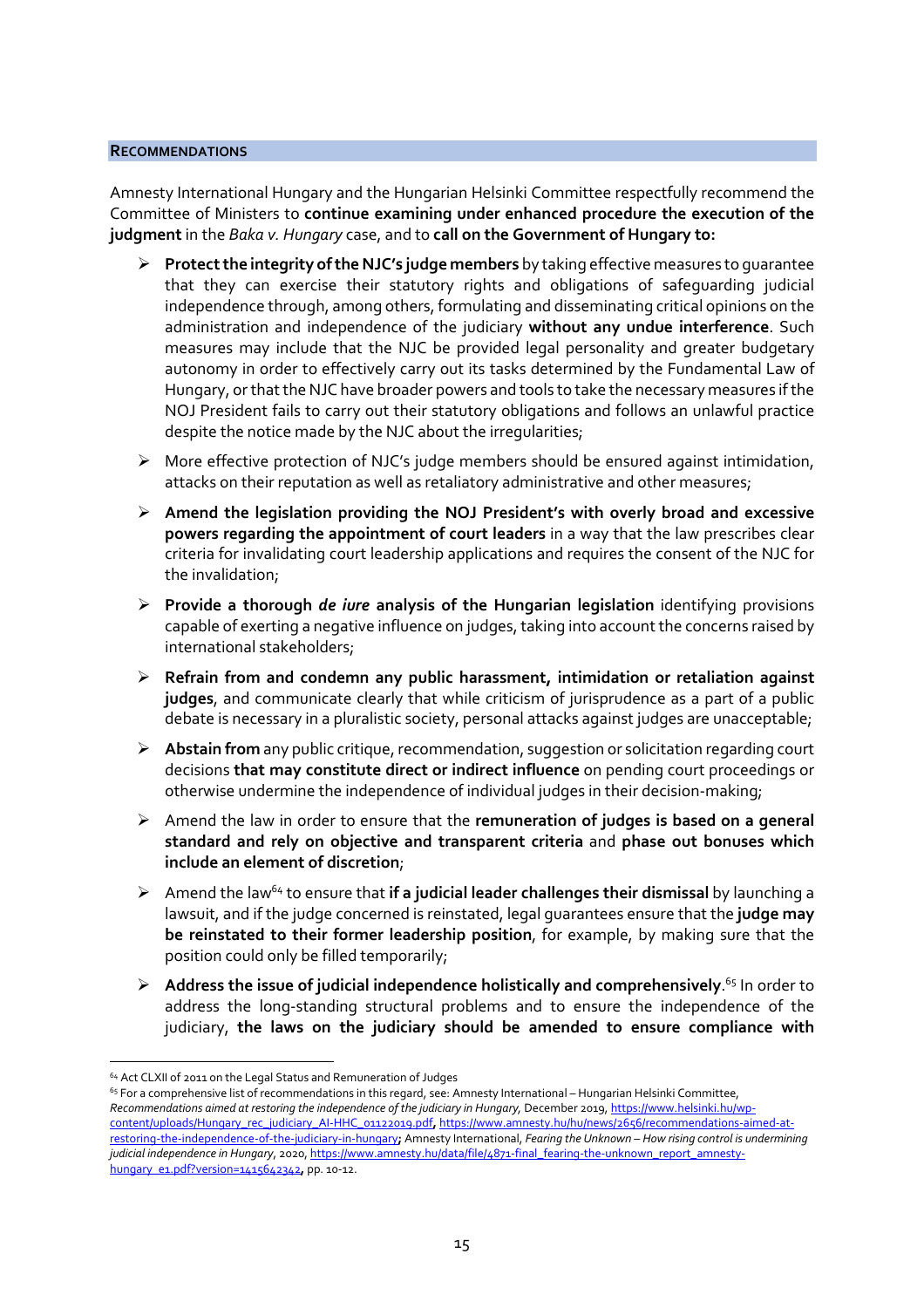#### **RECOMMENDATIONS**

Amnesty International Hungary and the Hungarian Helsinki Committee respectfully recommend the Committee of Ministers to **continue examining under enhanced procedure the execution of the judgment** in the *Baka v. Hungary* case, and to **call on the Government of Hungary to:** 

- **Protect the integrity of the NJC's judge members** by taking effective measures to guarantee that they can exercise their statutory rights and obligations of safeguarding judicial independence through, among others, formulating and disseminating critical opinions on the administration and independence of the judiciary **without any undue interference**. Such measures may include that the NJC be provided legal personality and greater budgetary autonomy in order to effectively carry out its tasks determined by the Fundamental Law of Hungary, or that the NJC have broader powers and tools to take the necessary measures if the NOJ President fails to carry out their statutory obligations and follows an unlawful practice despite the notice made by the NJC about the irregularities;
- $\triangleright$  More effective protection of NJC's judge members should be ensured against intimidation, attacks on their reputation as well as retaliatory administrative and other measures;
- **Amend the legislation providing the NOJ President's with overly broad and excessive powers regarding the appointment of court leaders** in a way that the law prescribes clear criteria for invalidating court leadership applications and requires the consent of the NJC for the invalidation;
- **Provide a thorough** *de iure* **analysis of the Hungarian legislation** identifying provisions capable of exerting a negative influence on judges, taking into account the concerns raised by international stakeholders;
- **Refrain from and condemn any public harassment, intimidation or retaliation against judges**, and communicate clearly that while criticism of jurisprudence as a part of a public debate is necessary in a pluralistic society, personal attacks against judges are unacceptable;
- **Abstain from** any public critique, recommendation, suggestion or solicitation regarding court decisions **that may constitute direct or indirect influence** on pending court proceedings or otherwise undermine the independence of individual judges in their decision-making;
- Amend the law in order to ensure that the **remuneration of judges is based on a general standard and rely on objective and transparent criteria** and **phase out bonuses which include an element of discretion**;
- $\triangleright$  Amend the law<sup>64</sup> to ensure that **if a judicial leader challenges their dismissal** by launching a lawsuit, and if the judge concerned is reinstated, legal guarantees ensure that the **judge may be reinstated to their former leadership position**, for example, by making sure that the position could only be filled temporarily;
- **Address the issue of judicial independence holistically and comprehensively**. <sup>65</sup> In order to address the long-standing structural problems and to ensure the independence of the judiciary, **the laws on the judiciary should be amended to ensure compliance with**

<sup>64</sup> Act CLXII of 2011 on the Legal Status and Remuneration of Judges

<sup>&</sup>lt;sup>65</sup> For a comprehensive list of recommendations in this regard, see: Amnesty International – Hungarian Helsinki Committee, *Recommendations aimed at restoring the independence of the judiciary in Hungary,* December 2019, https://www.helsinki.hu/wpcontent/uploads/Hungary\_rec\_judiciary\_AI-HHC\_01122019.pdf**,** https://www.amnesty.hu/hu/news/2656/recommendations-aimed-atrestoring-the-independence-of-the-judiciary-in-hungary**;** Amnesty International, *Fearing the Unknown – How rising control is undermining judicial independence in Hungary*, 2020, https://www.amnesty.hu/data/file/4871-final\_fearing-the-unknown\_report\_amnestyhungary\_e1.pdf?version=1415642342**,** pp. 10-12.